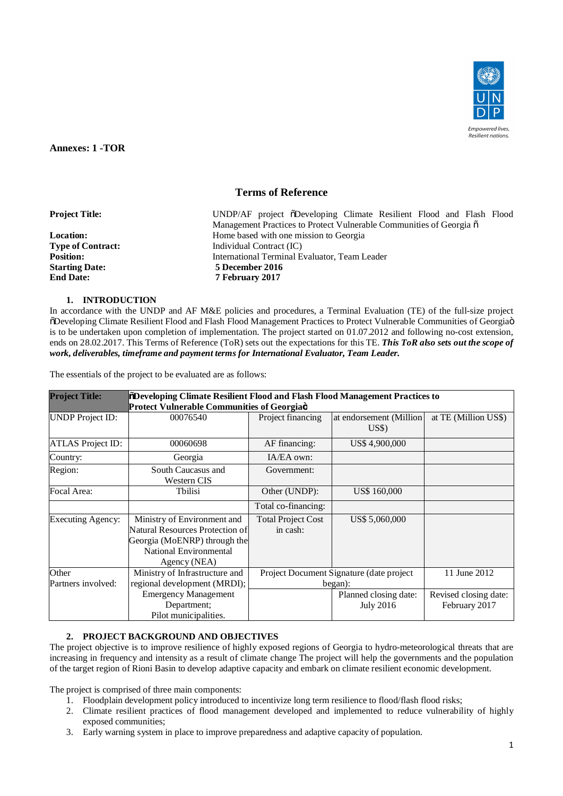

**Annexes: 1 -TOR**

# **Terms of Reference**

| <b>Project Title:</b>    | UNDP/AF project oDeveloping Climate Resilient Flood and Flash Flood           |  |  |  |  |
|--------------------------|-------------------------------------------------------------------------------|--|--|--|--|
|                          | Management Practices to Protect Vulnerable Communities of Georgia $\tilde{o}$ |  |  |  |  |
| <b>Location:</b>         | Home based with one mission to Georgia                                        |  |  |  |  |
| <b>Type of Contract:</b> | Individual Contract (IC)                                                      |  |  |  |  |
| <b>Position:</b>         | International Terminal Evaluator, Team Leader                                 |  |  |  |  |
| <b>Starting Date:</b>    | 5 December 2016                                                               |  |  |  |  |
| <b>End Date:</b>         | 7 February 2017                                                               |  |  |  |  |
|                          |                                                                               |  |  |  |  |

## **1. INTRODUCTION**

In accordance with the UNDP and AF M&E policies and procedures, a Terminal Evaluation (TE) of the full-size project  $\delta$ Developing Climate Resilient Flood and Flash Flood Management Practices to Protect Vulnerable Communities of Georgiaö is to be undertaken upon completion of implementation. The project started on 01.07.2012 and following no-cost extension, ends on 28.02.2017. This Terms of Reference (ToR) sets out the expectations for this TE. *This ToR also sets out the scope of work, deliverables, timeframe and payment terms for International Evaluator, Team Leader.*

The essentials of the project to be evaluated are as follows:

| <b>Project Title:</b>                                                                         | <b><i><u>¡õDeveloping Climate Resilient Flood and Flash Flood Management Practices to</u></i></b><br>Protect Vulnerable Communities of Georgiaö |                                                     |                                                 |                                        |  |  |
|-----------------------------------------------------------------------------------------------|-------------------------------------------------------------------------------------------------------------------------------------------------|-----------------------------------------------------|-------------------------------------------------|----------------------------------------|--|--|
| <b>UNDP</b> Project ID:                                                                       | 00076540                                                                                                                                        | Project financing                                   | at endorsement (Million)<br>$\overline{U}$ S\$) | at TE (Million US\$)                   |  |  |
| <b>ATLAS Project ID:</b>                                                                      | 00060698                                                                                                                                        | AF financing:                                       | US\$4,900,000                                   |                                        |  |  |
| Country:                                                                                      | Georgia                                                                                                                                         | $IA/EA$ own:                                        |                                                 |                                        |  |  |
| Region:                                                                                       | South Caucasus and<br>Western CIS                                                                                                               | Government:                                         |                                                 |                                        |  |  |
| Focal Area:                                                                                   | <b>T</b> bilisi                                                                                                                                 | Other (UNDP):                                       | US\$ 160,000                                    |                                        |  |  |
|                                                                                               |                                                                                                                                                 | Total co-financing:                                 |                                                 |                                        |  |  |
| <b>Executing Agency:</b>                                                                      | Ministry of Environment and<br>Natural Resources Protection of<br>Georgia (MoENRP) through the<br><b>National Environmental</b><br>Agency (NEA) | <b>Total Project Cost</b><br>in cash:               | US\$ 5,060,000                                  |                                        |  |  |
| Other<br>Ministry of Infrastructure and<br>regional development (MRDI);<br>Partners involved: |                                                                                                                                                 | Project Document Signature (date project<br>began): |                                                 | 11 June 2012                           |  |  |
|                                                                                               | <b>Emergency Management</b><br>Department;<br>Pilot municipalities.                                                                             |                                                     | Planned closing date:<br><b>July 2016</b>       | Revised closing date:<br>February 2017 |  |  |

# **2. PROJECT BACKGROUND AND OBJECTIVES**

The project objective is to improve resilience of highly exposed regions of Georgia to hydro-meteorological threats that are increasing in frequency and intensity as a result of climate change The project will help the governments and the population of the target region of Rioni Basin to develop adaptive capacity and embark on climate resilient economic development.

The project is comprised of three main components:

- 1. Floodplain development policy introduced to incentivize long term resilience to flood/flash flood risks;
- 2. Climate resilient practices of flood management developed and implemented to reduce vulnerability of highly exposed communities;
- 3. Early warning system in place to improve preparedness and adaptive capacity of population.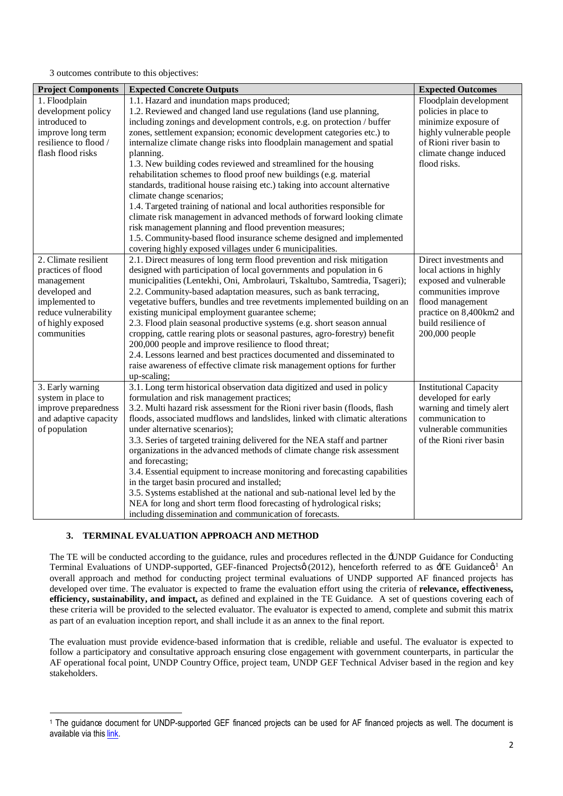3 outcomes contribute to this objectives:

| <b>Project Components</b> | <b>Expected Concrete Outputs</b>                                                                                            | <b>Expected Outcomes</b>      |
|---------------------------|-----------------------------------------------------------------------------------------------------------------------------|-------------------------------|
| 1. Floodplain             | 1.1. Hazard and inundation maps produced;                                                                                   | Floodplain development        |
| development policy        | 1.2. Reviewed and changed land use regulations (land use planning,                                                          | policies in place to          |
| introduced to             | including zonings and development controls, e.g. on protection / buffer                                                     | minimize exposure of          |
| improve long term         | zones, settlement expansion; economic development categories etc.) to                                                       | highly vulnerable people      |
| resilience to flood /     | internalize climate change risks into floodplain management and spatial                                                     | of Rioni river basin to       |
| flash flood risks         | planning.                                                                                                                   | climate change induced        |
|                           | 1.3. New building codes reviewed and streamlined for the housing                                                            | flood risks.                  |
|                           | rehabilitation schemes to flood proof new buildings (e.g. material                                                          |                               |
|                           | standards, traditional house raising etc.) taking into account alternative                                                  |                               |
|                           | climate change scenarios;                                                                                                   |                               |
|                           | 1.4. Targeted training of national and local authorities responsible for                                                    |                               |
|                           | climate risk management in advanced methods of forward looking climate                                                      |                               |
|                           | risk management planning and flood prevention measures;                                                                     |                               |
|                           | 1.5. Community-based flood insurance scheme designed and implemented                                                        |                               |
|                           | covering highly exposed villages under 6 municipalities.                                                                    |                               |
| 2. Climate resilient      | 2.1. Direct measures of long term flood prevention and risk mitigation                                                      | Direct investments and        |
| practices of flood        | designed with participation of local governments and population in 6                                                        | local actions in highly       |
| management                | municipalities (Lentekhi, Oni, Ambrolauri, Tskaltubo, Samtredia, Tsageri);                                                  | exposed and vulnerable        |
| developed and             | 2.2. Community-based adaptation measures, such as bank terracing,                                                           | communities improve           |
| implemented to            | vegetative buffers, bundles and tree revetments implemented building on an                                                  | flood management              |
| reduce vulnerability      | existing municipal employment guarantee scheme;                                                                             | practice on 8,400km2 and      |
| of highly exposed         | 2.3. Flood plain seasonal productive systems (e.g. short season annual                                                      | build resilience of           |
| communities               | cropping, cattle rearing plots or seasonal pastures, agro-forestry) benefit                                                 | 200,000 people                |
|                           | 200,000 people and improve resilience to flood threat;                                                                      |                               |
|                           | 2.4. Lessons learned and best practices documented and disseminated to                                                      |                               |
|                           | raise awareness of effective climate risk management options for further                                                    |                               |
|                           | up-scaling;                                                                                                                 |                               |
| 3. Early warning          | 3.1. Long term historical observation data digitized and used in policy                                                     | <b>Institutional Capacity</b> |
| system in place to        | formulation and risk management practices;                                                                                  | developed for early           |
| improve preparedness      | 3.2. Multi hazard risk assessment for the Rioni river basin (floods, flash                                                  | warning and timely alert      |
| and adaptive capacity     | floods, associated mudflows and landslides, linked with climatic alterations                                                | communication to              |
| of population             | under alternative scenarios);                                                                                               | vulnerable communities        |
|                           | 3.3. Series of targeted training delivered for the NEA staff and partner                                                    | of the Rioni river basin      |
|                           | organizations in the advanced methods of climate change risk assessment                                                     |                               |
|                           | and forecasting;                                                                                                            |                               |
|                           | 3.4. Essential equipment to increase monitoring and forecasting capabilities<br>in the target basin procured and installed; |                               |
|                           | 3.5. Systems established at the national and sub-national level led by the                                                  |                               |
|                           | NEA for long and short term flood forecasting of hydrological risks;                                                        |                               |
|                           | including dissemination and communication of forecasts.                                                                     |                               |

## **3. TERMINAL EVALUATION APPROACH AND METHOD**

The TE will be conducted according to the guidance, rules and procedures reflected in the 'UNDP Guidance for Conducting Terminal Evaluations of UNDP-supported, GEF-financed Projectsø (2012), henceforth referred to as  $\pm TE$  Guidance $\alpha^1$  An overall approach and method for conducting project terminal evaluations of UNDP supported AF financed projects has developed over time. The evaluator is expected to frame the evaluation effort using the criteria of **relevance, effectiveness, efficiency, sustainability, and impact,** as defined and explained in the TE Guidance. A set of questions covering each of these criteria will be provided to the selected evaluator. The evaluator is expected to amend, complete and submit this matrix as part of an evaluation inception report, and shall include it as an annex to the final report.

The evaluation must provide evidence-based information that is credible, reliable and useful. The evaluator is expected to follow a participatory and consultative approach ensuring close engagement with government counterparts, in particular the AF operational focal point, UNDP Country Office, project team, UNDP GEF Technical Adviser based in the region and key stakeholders.

 $\overline{a}$ <sup>1</sup> The guidance document for UNDP-supported GEF financed projects can be used for AF financed projects as well. The document is available via this link.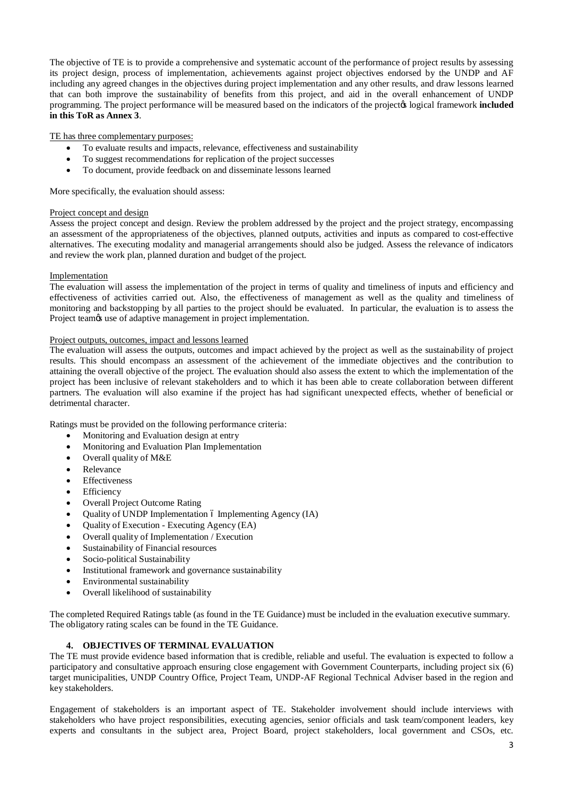The objective of TE is to provide a comprehensive and systematic account of the performance of project results by assessing its project design, process of implementation, achievements against project objectives endorsed by the UNDP and AF including any agreed changes in the objectives during project implementation and any other results, and draw lessons learned that can both improve the sustainability of benefits from this project, and aid in the overall enhancement of UNDP programming. The project performance will be measured based on the indicators of the projector logical framework **included in this ToR as Annex 3**.

## TE has three complementary purposes:

- · To evaluate results and impacts, relevance, effectiveness and sustainability
- · To suggest recommendations for replication of the project successes
- · To document, provide feedback on and disseminate lessons learned

More specifically, the evaluation should assess:

#### Project concept and design

Assess the project concept and design. Review the problem addressed by the project and the project strategy, encompassing an assessment of the appropriateness of the objectives, planned outputs, activities and inputs as compared to cost-effective alternatives. The executing modality and managerial arrangements should also be judged. Assess the relevance of indicators and review the work plan, planned duration and budget of the project.

#### Implementation

The evaluation will assess the implementation of the project in terms of quality and timeliness of inputs and efficiency and effectiveness of activities carried out. Also, the effectiveness of management as well as the quality and timeliness of monitoring and backstopping by all parties to the project should be evaluated. In particular, the evaluation is to assess the Project team $\alpha$  use of adaptive management in project implementation.

#### Project outputs, outcomes, impact and lessons learned

The evaluation will assess the outputs, outcomes and impact achieved by the project as well as the sustainability of project results. This should encompass an assessment of the achievement of the immediate objectives and the contribution to attaining the overall objective of the project. The evaluation should also assess the extent to which the implementation of the project has been inclusive of relevant stakeholders and to which it has been able to create collaboration between different partners. The evaluation will also examine if the project has had significant unexpected effects, whether of beneficial or detrimental character.

Ratings must be provided on the following performance criteria:

- Monitoring and Evaluation design at entry
- · Monitoring and Evaluation Plan Implementation
- Overall quality of M&E
- **Relevance**
- **Effectiveness**
- **Efficiency**
- Overall Project Outcome Rating
- Ouality of UNDP Implementation 6 Implementing Agency (IA)
- · Quality of Execution Executing Agency (EA)
- Overall quality of Implementation / Execution
- Sustainability of Financial resources
- Socio-political Sustainability
- Institutional framework and governance sustainability
- Environmental sustainability
- Overall likelihood of sustainability

The completed Required Ratings table (as found in the TE Guidance) must be included in the evaluation executive summary. The obligatory rating scales can be found in the TE Guidance.

# **4. OBJECTIVES OF TERMINAL EVALUATION**

The TE must provide evidence based information that is credible, reliable and useful. The evaluation is expected to follow a participatory and consultative approach ensuring close engagement with Government Counterparts, including project six (6) target municipalities, UNDP Country Office, Project Team, UNDP-AF Regional Technical Adviser based in the region and key stakeholders.

Engagement of stakeholders is an important aspect of TE. Stakeholder involvement should include interviews with stakeholders who have project responsibilities, executing agencies, senior officials and task team/component leaders, key experts and consultants in the subject area, Project Board, project stakeholders, local government and CSOs, etc.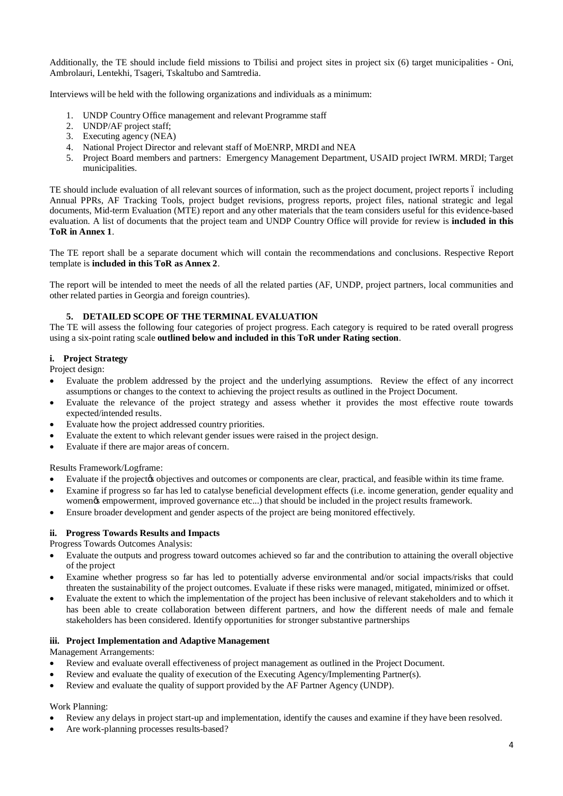Additionally, the TE should include field missions to Tbilisi and project sites in project six (6) target municipalities - Oni, Ambrolauri, Lentekhi, Tsageri, Tskaltubo and Samtredia.

Interviews will be held with the following organizations and individuals as a minimum:

- 1. UNDP Country Office management and relevant Programme staff
- 2. UNDP/AF project staff;
- 3. Executing agency (NEA)
- 4. National Project Director and relevant staff of MoENRP, MRDI and NEA
- 5. Project Board members and partners: Emergency Management Department, USAID project IWRM. MRDI; Target municipalities.

TE should include evaluation of all relevant sources of information, such as the project document, project reports 6 including Annual PPRs, AF Tracking Tools, project budget revisions, progress reports, project files, national strategic and legal documents, Mid-term Evaluation (MTE) report and any other materials that the team considers useful for this evidence-based evaluation. A list of documents that the project team and UNDP Country Office will provide for review is **included in this ToR in Annex 1**.

The TE report shall be a separate document which will contain the recommendations and conclusions. Respective Report template is **included in this ToR as Annex 2**.

The report will be intended to meet the needs of all the related parties (AF, UNDP, project partners, local communities and other related parties in Georgia and foreign countries).

# **5. DETAILED SCOPE OF THE TERMINAL EVALUATION**

The TE will assess the following four categories of project progress. Each category is required to be rated overall progress using a six-point rating scale **outlined below and included in this ToR under Rating section**.

# **i. Project Strategy**

Project design:

- Evaluate the problem addressed by the project and the underlying assumptions. Review the effect of any incorrect assumptions or changes to the context to achieving the project results as outlined in the Project Document.
- Evaluate the relevance of the project strategy and assess whether it provides the most effective route towards expected/intended results.
- Evaluate how the project addressed country priorities.
- Evaluate the extent to which relevant gender issues were raised in the project design.
- Evaluate if there are major areas of concern.

Results Framework/Logframe:

- Evaluate if the projector objectives and outcomes or components are clear, practical, and feasible within its time frame.
- Examine if progress so far has led to catalyse beneficial development effects (i.e. income generation, gender equality and women $\alpha$  empowerment, improved governance etc...) that should be included in the project results framework.
- Ensure broader development and gender aspects of the project are being monitored effectively.

# **ii. Progress Towards Results and Impacts**

Progress Towards Outcomes Analysis:

- · Evaluate the outputs and progress toward outcomes achieved so far and the contribution to attaining the overall objective of the project
- Examine whether progress so far has led to potentially adverse environmental and/or social impacts/risks that could threaten the sustainability of the project outcomes. Evaluate if these risks were managed, mitigated, minimized or offset.
- Evaluate the extent to which the implementation of the project has been inclusive of relevant stakeholders and to which it has been able to create collaboration between different partners, and how the different needs of male and female stakeholders has been considered. Identify opportunities for stronger substantive partnerships

## **iii. Project Implementation and Adaptive Management**

Management Arrangements:

- Review and evaluate overall effectiveness of project management as outlined in the Project Document.
- Review and evaluate the quality of execution of the Executing Agency/Implementing Partner(s).
- Review and evaluate the quality of support provided by the AF Partner Agency (UNDP).

Work Planning:

- Review any delays in project start-up and implementation, identify the causes and examine if they have been resolved.
- Are work-planning processes results-based?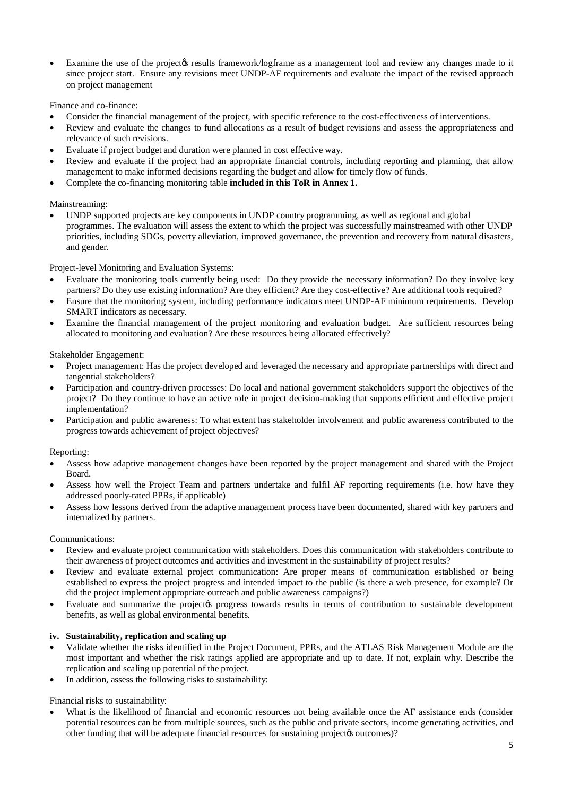Examine the use of the project ts results framework/logframe as a management tool and review any changes made to it since project start. Ensure any revisions meet UNDP-AF requirements and evaluate the impact of the revised approach on project management

Finance and co-finance:

- Consider the financial management of the project, with specific reference to the cost-effectiveness of interventions.
- Review and evaluate the changes to fund allocations as a result of budget revisions and assess the appropriateness and relevance of such revisions.
- Evaluate if project budget and duration were planned in cost effective way.
- Review and evaluate if the project had an appropriate financial controls, including reporting and planning, that allow management to make informed decisions regarding the budget and allow for timely flow of funds.
- · Complete the co-financing monitoring table **included in this ToR in Annex 1.**

# Mainstreaming:

UNDP supported projects are key components in UNDP country programming, as well as regional and global programmes. The evaluation will assess the extent to which the project was successfully mainstreamed with other UNDP priorities, including SDGs, poverty alleviation, improved governance, the prevention and recovery from natural disasters, and gender.

Project-level Monitoring and Evaluation Systems:

- Evaluate the monitoring tools currently being used: Do they provide the necessary information? Do they involve key partners? Do they use existing information? Are they efficient? Are they cost-effective? Are additional tools required?
- Ensure that the monitoring system, including performance indicators meet UNDP-AF minimum requirements. Develop SMART indicators as necessary.
- Examine the financial management of the project monitoring and evaluation budget. Are sufficient resources being allocated to monitoring and evaluation? Are these resources being allocated effectively?

Stakeholder Engagement:

- · Project management: Has the project developed and leveraged the necessary and appropriate partnerships with direct and tangential stakeholders?
- Participation and country-driven processes: Do local and national government stakeholders support the objectives of the project? Do they continue to have an active role in project decision-making that supports efficient and effective project implementation?
- Participation and public awareness: To what extent has stakeholder involvement and public awareness contributed to the progress towards achievement of project objectives?

## Reporting:

- Assess how adaptive management changes have been reported by the project management and shared with the Project Board.
- Assess how well the Project Team and partners undertake and fulfil AF reporting requirements (i.e. how have they addressed poorly-rated PPRs, if applicable)
- Assess how lessons derived from the adaptive management process have been documented, shared with key partners and internalized by partners.

Communications:

- Review and evaluate project communication with stakeholders. Does this communication with stakeholders contribute to their awareness of project outcomes and activities and investment in the sustainability of project results?
- Review and evaluate external project communication: Are proper means of communication established or being established to express the project progress and intended impact to the public (is there a web presence, for example? Or did the project implement appropriate outreach and public awareness campaigns?)
- Evaluate and summarize the projectos progress towards results in terms of contribution to sustainable development benefits, as well as global environmental benefits.

## **iv. Sustainability, replication and scaling up**

- · Validate whether the risks identified in the Project Document, PPRs, and the ATLAS Risk Management Module are the most important and whether the risk ratings applied are appropriate and up to date. If not, explain why. Describe the replication and scaling up potential of the project.
- In addition, assess the following risks to sustainability:

Financial risks to sustainability:

What is the likelihood of financial and economic resources not being available once the AF assistance ends (consider potential resources can be from multiple sources, such as the public and private sectors, income generating activities, and other funding that will be adequate financial resources for sustaining project  $\phi$  outcomes)?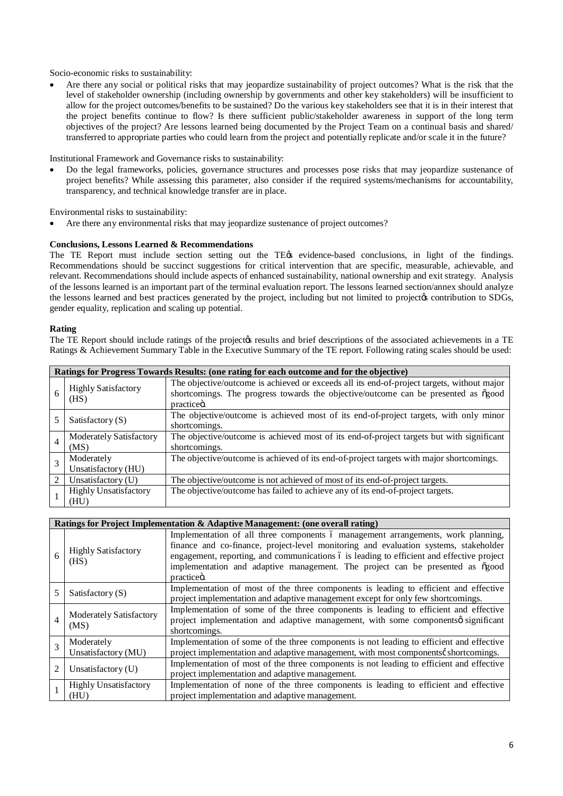Socio-economic risks to sustainability:

Are there any social or political risks that may jeopardize sustainability of project outcomes? What is the risk that the level of stakeholder ownership (including ownership by governments and other key stakeholders) will be insufficient to allow for the project outcomes/benefits to be sustained? Do the various key stakeholders see that it is in their interest that the project benefits continue to flow? Is there sufficient public/stakeholder awareness in support of the long term objectives of the project? Are lessons learned being documented by the Project Team on a continual basis and shared/ transferred to appropriate parties who could learn from the project and potentially replicate and/or scale it in the future?

Institutional Framework and Governance risks to sustainability:

· Do the legal frameworks, policies, governance structures and processes pose risks that may jeopardize sustenance of project benefits? While assessing this parameter, also consider if the required systems/mechanisms for accountability, transparency, and technical knowledge transfer are in place.

Environmental risks to sustainability:

Are there any environmental risks that may jeopardize sustenance of project outcomes?

#### **Conclusions, Lessons Learned & Recommendations**

The TE Report must include section setting out the TE $\alpha$  evidence-based conclusions, in light of the findings. Recommendations should be succinct suggestions for critical intervention that are specific, measurable, achievable, and relevant. Recommendations should include aspects of enhanced sustainability, national ownership and exit strategy. Analysis of the lessons learned is an important part of the terminal evaluation report. The lessons learned section/annex should analyze the lessons learned and best practices generated by the project, including but not limited to project to contribution to SDGs, gender equality, replication and scaling up potential.

#### **Rating**

The TE Report should include ratings of the projectos results and brief descriptions of the associated achievements in a TE Ratings & Achievement Summary Table in the Executive Summary of the TE report. Following rating scales should be used:

|                                                                                                                              | Ratings for Progress Towards Results: (one rating for each outcome and for the objective) |                                                                                                                                                                                                             |  |  |  |
|------------------------------------------------------------------------------------------------------------------------------|-------------------------------------------------------------------------------------------|-------------------------------------------------------------------------------------------------------------------------------------------------------------------------------------------------------------|--|--|--|
| 6                                                                                                                            | <b>Highly Satisfactory</b><br>(HS)                                                        | The objective/outcome is achieved or exceeds all its end-of-project targets, without major<br>shortcomings. The progress towards the objective/outcome can be presented as ogood<br>practice <sub>o</sub> . |  |  |  |
| The objective/outcome is achieved most of its end-of-project targets, with only minor<br>Satisfactory $(S)$<br>shortcomings. |                                                                                           |                                                                                                                                                                                                             |  |  |  |
| $\overline{4}$                                                                                                               | Moderately Satisfactory<br>(MS)                                                           | The objective/outcome is achieved most of its end-of-project targets but with significant<br>shortcomings.                                                                                                  |  |  |  |
|                                                                                                                              | Moderately<br>Unsatisfactory (HU)                                                         | The objective/outcome is achieved of its end-of-project targets with major shortcomings.                                                                                                                    |  |  |  |
|                                                                                                                              | Unsatisfactory (U)                                                                        | The objective/outcome is not achieved of most of its end-of-project targets.                                                                                                                                |  |  |  |
|                                                                                                                              | <b>Highly Unsatisfactory</b><br>(HU)                                                      | The objective/outcome has failed to achieve any of its end-of-project targets.                                                                                                                              |  |  |  |

|                | Ratings for Project Implementation & Adaptive Management: (one overall rating)                                                                                                                 |                                                                                                                                                                                                                                                                                                                                                                       |  |  |  |
|----------------|------------------------------------------------------------------------------------------------------------------------------------------------------------------------------------------------|-----------------------------------------------------------------------------------------------------------------------------------------------------------------------------------------------------------------------------------------------------------------------------------------------------------------------------------------------------------------------|--|--|--|
| 6              | <b>Highly Satisfactory</b><br>(HS)                                                                                                                                                             | Implementation of all three components 6 management arrangements, work planning,<br>finance and co-finance, project-level monitoring and evaluation systems, stakeholder<br>engagement, reporting, and communications of is leading to efficient and effective project<br>implementation and adaptive management. The project can be presented as ogood<br>practiceö. |  |  |  |
|                | Implementation of most of the three components is leading to efficient and effective<br>Satisfactory $(S)$<br>project implementation and adaptive management except for only few shortcomings. |                                                                                                                                                                                                                                                                                                                                                                       |  |  |  |
| 4              | Moderately Satisfactory<br>(MS)                                                                                                                                                                | Implementation of some of the three components is leading to efficient and effective<br>project implementation and adaptive management, with some componentsø significant<br>shortcomings.                                                                                                                                                                            |  |  |  |
|                | Moderately<br>Unsatisfactory (MU)                                                                                                                                                              | Implementation of some of the three components is not leading to efficient and effective<br>project implementation and adaptive management, with most components  shortcomings.                                                                                                                                                                                       |  |  |  |
| $\mathfrak{D}$ | Unsatisfactory $(U)$                                                                                                                                                                           | Implementation of most of the three components is not leading to efficient and effective<br>project implementation and adaptive management.                                                                                                                                                                                                                           |  |  |  |
|                | <b>Highly Unsatisfactory</b><br>(HU)                                                                                                                                                           | Implementation of none of the three components is leading to efficient and effective<br>project implementation and adaptive management.                                                                                                                                                                                                                               |  |  |  |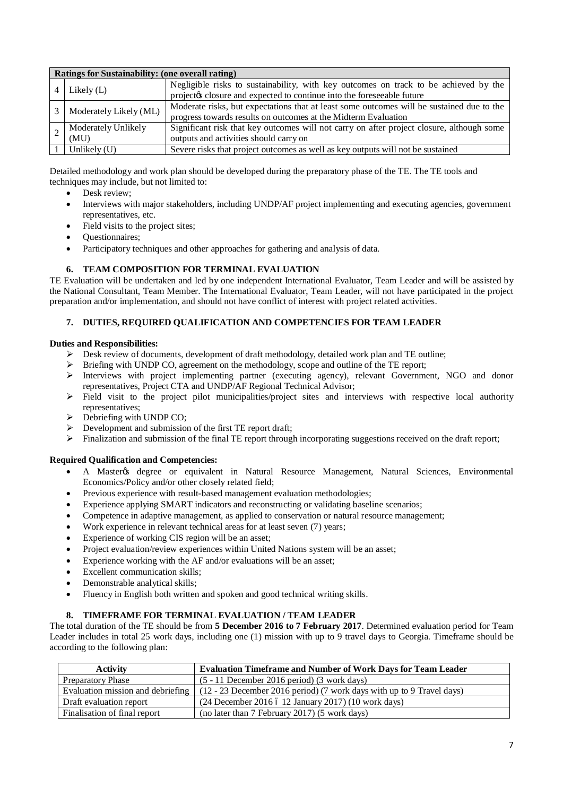| Ratings for Sustainability: (one overall rating) |                                                                                                                                                                |  |  |
|--------------------------------------------------|----------------------------------------------------------------------------------------------------------------------------------------------------------------|--|--|
| Likely $(L)$                                     | Negligible risks to sustainability, with key outcomes on track to be achieved by the<br>projectos closure and expected to continue into the foreseeable future |  |  |
| Moderately Likely (ML)                           | Moderate risks, but expectations that at least some outcomes will be sustained due to the<br>progress towards results on outcomes at the Midterm Evaluation    |  |  |
| Moderately Unlikely<br>(MU)                      | Significant risk that key outcomes will not carry on after project closure, although some<br>outputs and activities should carry on                            |  |  |
| Unlikely (U)                                     | Severe risks that project outcomes as well as key outputs will not be sustained                                                                                |  |  |

Detailed methodology and work plan should be developed during the preparatory phase of the TE. The TE tools and techniques may include, but not limited to:

- Desk review:
- · Interviews with major stakeholders, including UNDP/AF project implementing and executing agencies, government representatives, etc.
- Field visits to the project sites;
- · Questionnaires;
- Participatory techniques and other approaches for gathering and analysis of data.

# **6. TEAM COMPOSITION FOR TERMINAL EVALUATION**

TE Evaluation will be undertaken and led by one independent International Evaluator, Team Leader and will be assisted by the National Consultant, Team Member. The International Evaluator, Team Leader, will not have participated in the project preparation and/or implementation, and should not have conflict of interest with project related activities.

# **7. DUTIES, REQUIRED QUALIFICATION AND COMPETENCIES FOR TEAM LEADER**

## **Duties and Responsibilities:**

- $\triangleright$  Desk review of documents, development of draft methodology, detailed work plan and TE outline;
- $\triangleright$  Briefing with UNDP CO, agreement on the methodology, scope and outline of the TE report;
- $\triangleright$  Interviews with project implementing partner (executing agency), relevant Government, NGO and donor representatives, Project CTA and UNDP/AF Regional Technical Advisor;
- ÿ Field visit to the project pilot municipalities/project sites and interviews with respective local authority representatives;
- $\triangleright$  Debriefing with UNDP CO;
- $\triangleright$  Development and submission of the first TE report draft;
- > Finalization and submission of the final TE report through incorporating suggestions received on the draft report;

## **Required Qualification and Competencies:**

- A Masteros degree or equivalent in Natural Resource Management, Natural Sciences, Environmental Economics/Policy and/or other closely related field;
- Previous experience with result-based management evaluation methodologies;
- Experience applying SMART indicators and reconstructing or validating baseline scenarios;
- Competence in adaptive management, as applied to conservation or natural resource management;
- Work experience in relevant technical areas for at least seven (7) years;
- Experience of working CIS region will be an asset;
- Project evaluation/review experiences within United Nations system will be an asset;
- Experience working with the AF and/or evaluations will be an asset;
- Excellent communication skills;
- Demonstrable analytical skills;
- Fluency in English both written and spoken and good technical writing skills.

## **8. TIMEFRAME FOR TERMINAL EVALUATION / TEAM LEADER**

The total duration of the TE should be from **5 December 2016 to 7 February 2017**. Determined evaluation period for Team Leader includes in total 25 work days, including one (1) mission with up to 9 travel days to Georgia. Timeframe should be according to the following plan:

| <b>Activity</b>                   | <b>Evaluation Timeframe and Number of Work Days for Team Leader</b>   |
|-----------------------------------|-----------------------------------------------------------------------|
| <b>Preparatory Phase</b>          | $(5 - 11$ December 2016 period) (3 work days)                         |
| Evaluation mission and debriefing | (12 - 23 December 2016 period) (7 work days with up to 9 Travel days) |
| Draft evaluation report           | $(24$ December 2016 ó 12 January 2017) $(10$ work days)               |
| Finalisation of final report      | (no later than 7 February 2017) (5 work days)                         |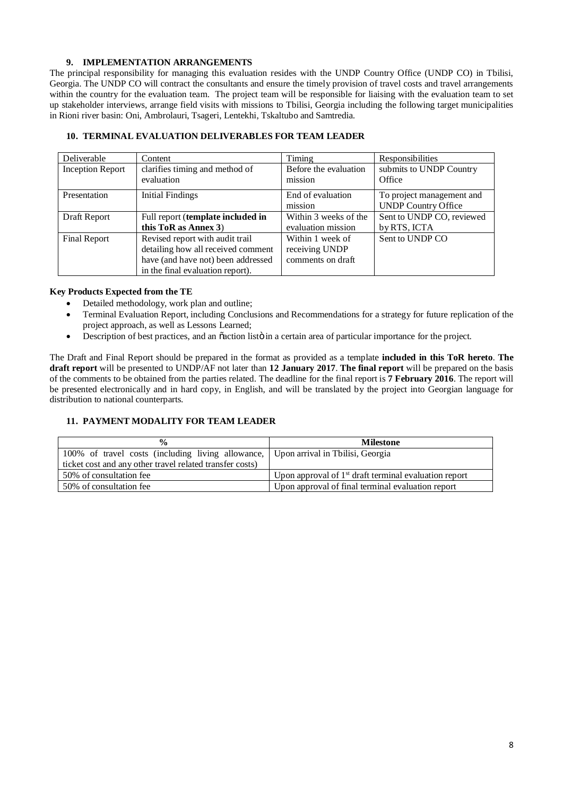# **9. IMPLEMENTATION ARRANGEMENTS**

The principal responsibility for managing this evaluation resides with the UNDP Country Office (UNDP CO) in Tbilisi, Georgia. The UNDP CO will contract the consultants and ensure the timely provision of travel costs and travel arrangements within the country for the evaluation team. The project team will be responsible for liaising with the evaluation team to set up stakeholder interviews, arrange field visits with missions to Tbilisi, Georgia including the following target municipalities in Rioni river basin: Oni, Ambrolauri, Tsageri, Lentekhi, Tskaltubo and Samtredia.

| Deliverable             | Content                                      | Timing                           | Responsibilities                  |
|-------------------------|----------------------------------------------|----------------------------------|-----------------------------------|
| <b>Inception Report</b> | clarifies timing and method of<br>evaluation | Before the evaluation<br>mission | submits to UNDP Country<br>Office |
|                         |                                              |                                  |                                   |
| Presentation            | <b>Initial Findings</b>                      | End of evaluation                | To project management and         |
|                         |                                              | mission                          | <b>UNDP Country Office</b>        |
| Draft Report            | Full report (template included in            | Within 3 weeks of the            | Sent to UNDP CO, reviewed         |
|                         | this ToR as Annex 3)                         | evaluation mission               | by RTS, ICTA                      |
| Final Report            | Revised report with audit trail              | Within 1 week of                 | Sent to UNDP CO                   |
|                         | detailing how all received comment           | receiving UNDP                   |                                   |
|                         | have (and have not) been addressed           | comments on draft                |                                   |
|                         | in the final evaluation report).             |                                  |                                   |

# **10. TERMINAL EVALUATION DELIVERABLES FOR TEAM LEADER**

## **Key Products Expected from the TE**

- Detailed methodology, work plan and outline;
- · Terminal Evaluation Report, including Conclusions and Recommendations for a strategy for future replication of the project approach, as well as Lessons Learned;
- Description of best practices, and an  $\ddot{\text{a}}$  cation listo in a certain area of particular importance for the project.

The Draft and Final Report should be prepared in the format as provided as a template **included in this ToR hereto**. **The draft report** will be presented to UNDP/AF not later than **12 January 2017**. **The final report** will be prepared on the basis of the comments to be obtained from the parties related. The deadline for the final report is **7 February 2016**. The report will be presented electronically and in hard copy, in English, and will be translated by the project into Georgian language for distribution to national counterparts.

# **11. PAYMENT MODALITY FOR TEAM LEADER**

| $\frac{6}{9}$                                                                      | <b>Milestone</b>                                        |  |
|------------------------------------------------------------------------------------|---------------------------------------------------------|--|
| 100% of travel costs (including living allowance, Upon arrival in Tbilisi, Georgia |                                                         |  |
| ticket cost and any other travel related transfer costs)                           |                                                         |  |
| 50% of consultation fee                                                            | Upon approval of $1st$ draft terminal evaluation report |  |
| 50% of consultation fee                                                            | Upon approval of final terminal evaluation report       |  |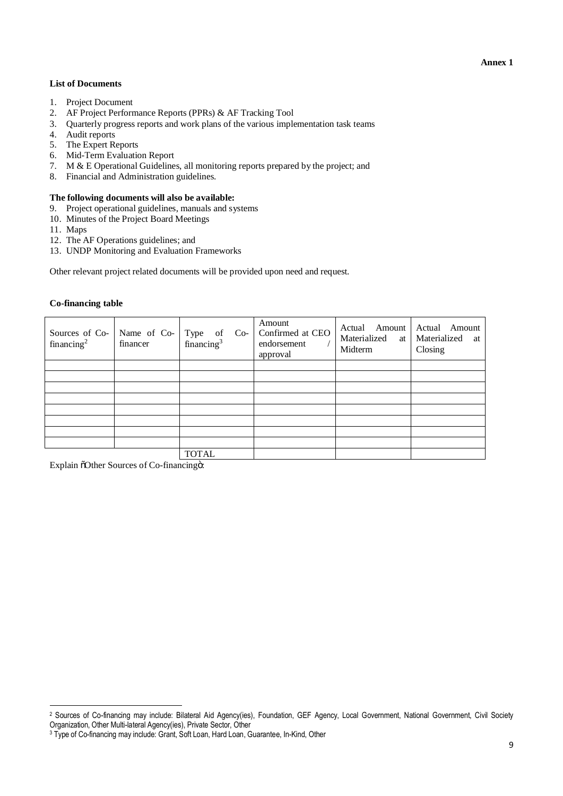#### **Annex 1**

## **List of Documents**

- 1. Project Document
- 2. AF Project Performance Reports (PPRs) & AF Tracking Tool
- 3. Quarterly progress reports and work plans of the various implementation task teams
- 4. Audit reports
- 5. The Expert Reports
- 6. Mid-Term Evaluation Report
- 7. M & E Operational Guidelines, all monitoring reports prepared by the project; and
- 8. Financial and Administration guidelines.

#### **The following documents will also be available:**

- 9. Project operational guidelines, manuals and systems
- 10. Minutes of the Project Board Meetings
- 11. Maps

 $\overline{a}$ 

- 12. The AF Operations guidelines; and
- 13. UNDP Monitoring and Evaluation Frameworks

Other relevant project related documents will be provided upon need and request.

| Sources of Co-<br>financing <sup>2</sup> | Name of Co-<br>financer | Type of Co-<br>financing <sup>3</sup> | Amount<br>Confirmed at CEO<br>endorsement<br>approval | Actual Amount<br>Materialized at<br>Midterm | Actual Amount<br>Materialized at<br>Closing |
|------------------------------------------|-------------------------|---------------------------------------|-------------------------------------------------------|---------------------------------------------|---------------------------------------------|
|                                          |                         |                                       |                                                       |                                             |                                             |
|                                          |                         |                                       |                                                       |                                             |                                             |
|                                          |                         |                                       |                                                       |                                             |                                             |
|                                          |                         |                                       |                                                       |                                             |                                             |
|                                          |                         |                                       |                                                       |                                             |                                             |
|                                          |                         |                                       |                                                       |                                             |                                             |
|                                          |                         |                                       |                                                       |                                             |                                             |
|                                          |                         |                                       |                                                       |                                             |                                             |
|                                          |                         | <b>TOTAL</b>                          |                                                       |                                             |                                             |

Explain  $\delta$ Other Sources of Co-financing<sup>o:</sup>

<sup>2</sup> Sources of Co-financing may include: Bilateral Aid Agency(ies), Foundation, GEF Agency, Local Government, National Government, Civil Society Organization, Other Multi-lateral Agency(ies), Private Sector, Other

<sup>3</sup> Type of Co-financing may include: Grant, Soft Loan, Hard Loan, Guarantee, In-Kind, Other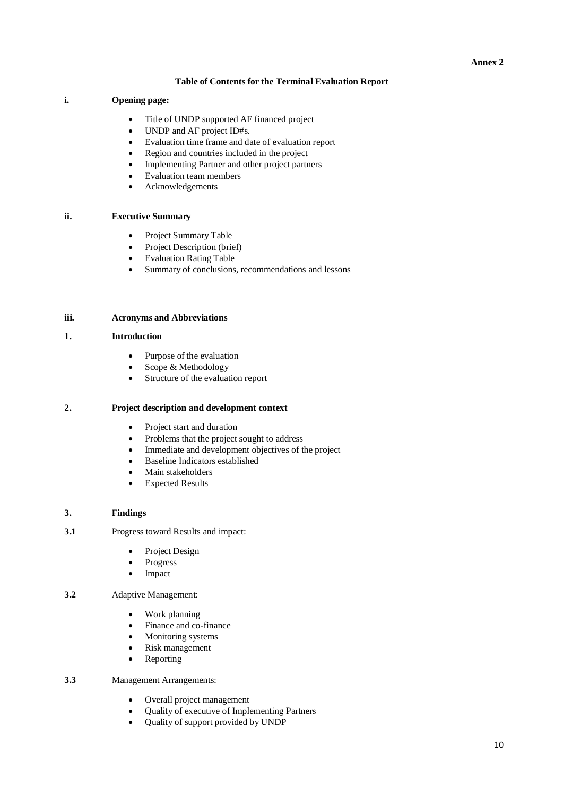# **Table of Contents for the Terminal Evaluation Report**

# **i. Opening page:**

- Title of UNDP supported AF financed project
- UNDP and AF project ID#s.
- · Evaluation time frame and date of evaluation report
- · Region and countries included in the project
- Implementing Partner and other project partners
- · Evaluation team members
- · Acknowledgements

# **ii. Executive Summary**

- · Project Summary Table
- Project Description (brief)
- · Evaluation Rating Table
- · Summary of conclusions, recommendations and lessons

# **iii. Acronyms and Abbreviations**

#### **1. Introduction**

- Purpose of the evaluation
- Scope & Methodology
- · Structure of the evaluation report

## **2. Project description and development context**

- Project start and duration
- · Problems that the project sought to address
- · Immediate and development objectives of the project
- · Baseline Indicators established
- Main stakeholders
- Expected Results

## **3. Findings**

- **3.1** Progress toward Results and impact:
	- Project Design
	- Progress
	- · Impact

# **3.2** Adaptive Management:

- · Work planning
- · Finance and co-finance
- Monitoring systems
- Risk management
- Reporting

# **3.3** Management Arrangements:

- · Overall project management
- · Quality of executive of Implementing Partners
- · Quality of support provided by UNDP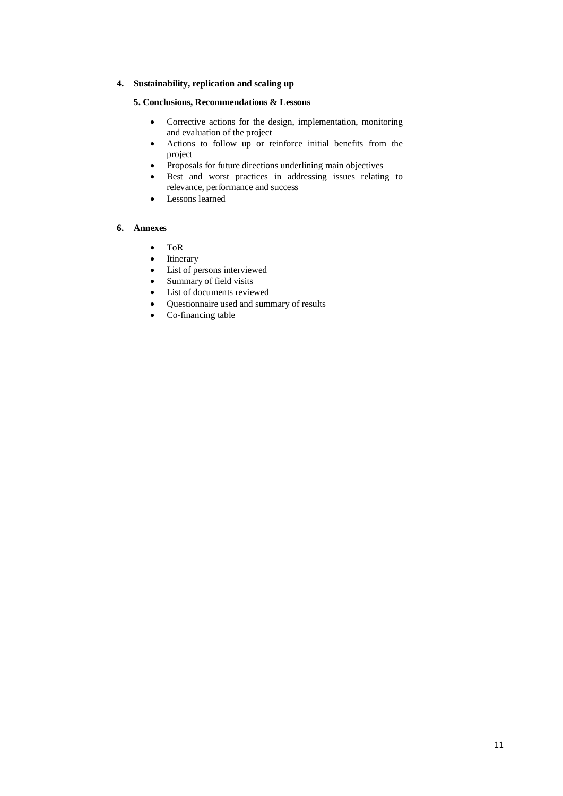# **4. Sustainability, replication and scaling up**

# **5. Conclusions, Recommendations & Lessons**

- · Corrective actions for the design, implementation, monitoring and evaluation of the project
- · Actions to follow up or reinforce initial benefits from the project
- · Proposals for future directions underlining main objectives
- · Best and worst practices in addressing issues relating to relevance, performance and success
- · Lessons learned

# **6. Annexes**

- · ToR
- Itinerary
- List of persons interviewed
- Summary of field visits
- · List of documents reviewed
- · Questionnaire used and summary of results
- · Co-financing table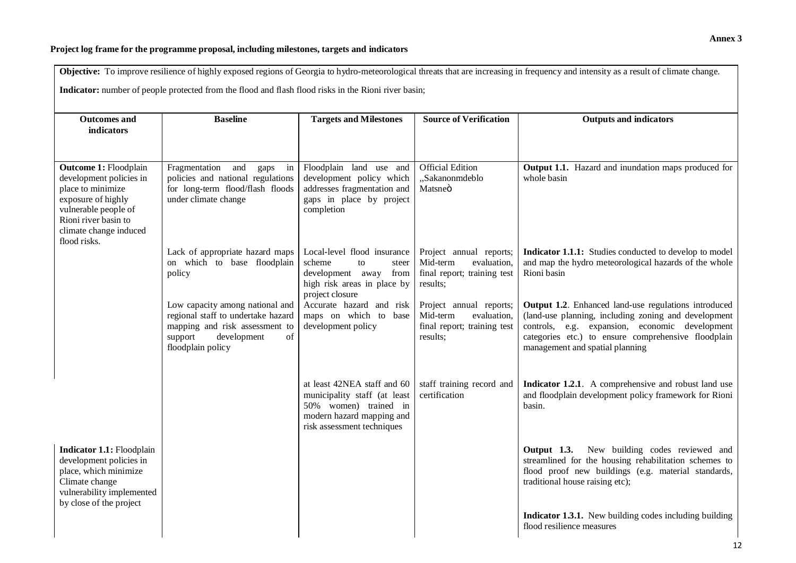# **Project log frame for the programme proposal, including milestones, targets and indicators**

| Objective: To improve resilience of highly exposed regions of Georgia to hydro-meteorological threats that are increasing in frequency and intensity as a result of climate change.<br>Indicator: number of people protected from the flood and flash flood risks in the Rioni river basin; |                                                                                                                                                              |                                                                                                                                                 |                                                                                               |                                                                                                                                                                                                                                                          |  |  |
|---------------------------------------------------------------------------------------------------------------------------------------------------------------------------------------------------------------------------------------------------------------------------------------------|--------------------------------------------------------------------------------------------------------------------------------------------------------------|-------------------------------------------------------------------------------------------------------------------------------------------------|-----------------------------------------------------------------------------------------------|----------------------------------------------------------------------------------------------------------------------------------------------------------------------------------------------------------------------------------------------------------|--|--|
| <b>Outcomes and</b><br>indicators                                                                                                                                                                                                                                                           | <b>Baseline</b>                                                                                                                                              | <b>Targets and Milestones</b>                                                                                                                   | <b>Source of Verification</b>                                                                 | <b>Outputs and indicators</b>                                                                                                                                                                                                                            |  |  |
| <b>Outcome 1: Floodplain</b><br>development policies in<br>place to minimize<br>exposure of highly<br>vulnerable people of<br>Rioni river basin to<br>climate change induced<br>flood risks.                                                                                                | Fragmentation<br>and<br>gaps in<br>policies and national regulations<br>for long-term flood/flash floods<br>under climate change                             | Floodplain land use and<br>development policy which<br>addresses fragmentation and<br>gaps in place by project<br>completion                    | <b>Official Edition</b><br>"Sakanonmdeblo<br>Matsneö                                          | Output 1.1. Hazard and inundation maps produced for<br>whole basin                                                                                                                                                                                       |  |  |
|                                                                                                                                                                                                                                                                                             | Lack of appropriate hazard maps<br>on which to base floodplain<br>policy                                                                                     | Local-level flood insurance<br>scheme<br>to<br>steer<br>development away from<br>high risk areas in place by<br>project closure                 | Project annual reports;<br>Mid-term<br>evaluation,<br>final report; training test<br>results; | Indicator 1.1.1: Studies conducted to develop to model<br>and map the hydro meteorological hazards of the whole<br>Rioni basin                                                                                                                           |  |  |
|                                                                                                                                                                                                                                                                                             | Low capacity among national and<br>regional staff to undertake hazard<br>mapping and risk assessment to<br>support<br>development<br>of<br>floodplain policy | Accurate hazard and risk<br>maps on which to base<br>development policy                                                                         | Project annual reports;<br>Mid-term<br>evaluation,<br>final report; training test<br>results; | Output 1.2. Enhanced land-use regulations introduced<br>(land-use planning, including zoning and development<br>controls, e.g. expansion, economic development<br>categories etc.) to ensure comprehensive floodplain<br>management and spatial planning |  |  |
|                                                                                                                                                                                                                                                                                             |                                                                                                                                                              | at least 42NEA staff and 60<br>municipality staff (at least<br>50% women) trained in<br>modern hazard mapping and<br>risk assessment techniques | staff training record and<br>certification                                                    | Indicator 1.2.1. A comprehensive and robust land use<br>and floodplain development policy framework for Rioni<br>basin.                                                                                                                                  |  |  |
| Indicator 1.1: Floodplain<br>development policies in<br>place, which minimize<br>Climate change<br>vulnerability implemented<br>by close of the project                                                                                                                                     |                                                                                                                                                              |                                                                                                                                                 |                                                                                               | Output 1.3. New building codes reviewed and<br>streamlined for the housing rehabilitation schemes to<br>flood proof new buildings (e.g. material standards,<br>traditional house raising etc);                                                           |  |  |
|                                                                                                                                                                                                                                                                                             |                                                                                                                                                              |                                                                                                                                                 |                                                                                               | Indicator 1.3.1. New building codes including building<br>flood resilience measures                                                                                                                                                                      |  |  |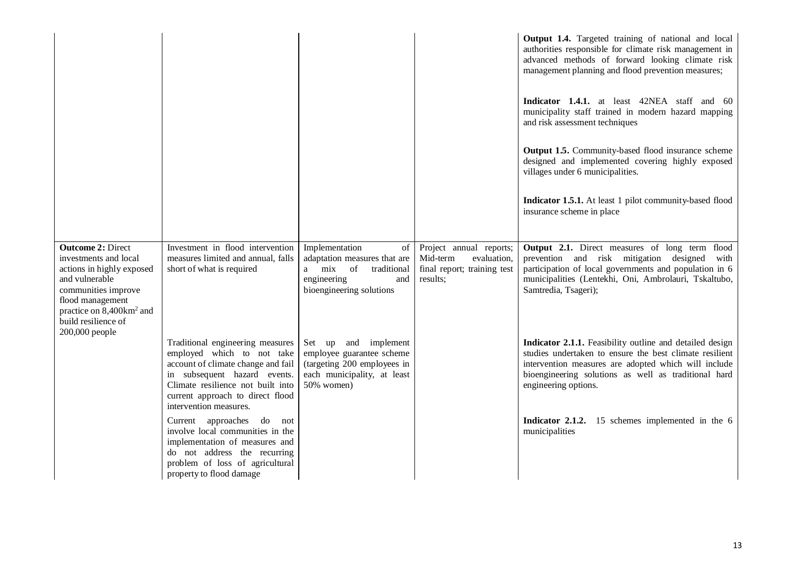|                                                                                                                                                                                                                              |                                                                                                                                                                                                                                         |                                                                                                                                      |                                                                                               | Output 1.4. Targeted training of national and local<br>authorities responsible for climate risk management in<br>advanced methods of forward looking climate risk<br>management planning and flood prevention measures;<br>Indicator 1.4.1. at least 42NEA staff and 60<br>municipality staff trained in modern hazard mapping<br>and risk assessment techniques<br>Output 1.5. Community-based flood insurance scheme<br>designed and implemented covering highly exposed<br>villages under 6 municipalities.<br>Indicator 1.5.1. At least 1 pilot community-based flood<br>insurance scheme in place |
|------------------------------------------------------------------------------------------------------------------------------------------------------------------------------------------------------------------------------|-----------------------------------------------------------------------------------------------------------------------------------------------------------------------------------------------------------------------------------------|--------------------------------------------------------------------------------------------------------------------------------------|-----------------------------------------------------------------------------------------------|--------------------------------------------------------------------------------------------------------------------------------------------------------------------------------------------------------------------------------------------------------------------------------------------------------------------------------------------------------------------------------------------------------------------------------------------------------------------------------------------------------------------------------------------------------------------------------------------------------|
| <b>Outcome 2: Direct</b><br>investments and local<br>actions in highly exposed<br>and vulnerable<br>communities improve<br>flood management<br>practice on 8,400km <sup>2</sup> and<br>build resilience of<br>200,000 people | Investment in flood intervention<br>measures limited and annual, falls<br>short of what is required                                                                                                                                     | Implementation<br>of<br>adaptation measures that are<br>of<br>a mix<br>traditional<br>engineering<br>and<br>bioengineering solutions | Project annual reports;<br>Mid-term<br>evaluation,<br>final report; training test<br>results; | Output 2.1. Direct measures of long term flood<br>prevention and risk mitigation designed with<br>participation of local governments and population in 6<br>municipalities (Lentekhi, Oni, Ambrolauri, Tskaltubo,<br>Samtredia, Tsageri);                                                                                                                                                                                                                                                                                                                                                              |
|                                                                                                                                                                                                                              | Traditional engineering measures<br>employed which to not take<br>account of climate change and fail<br>in subsequent hazard events.<br>Climate resilience not built into<br>current approach to direct flood<br>intervention measures. | and<br>implement<br>Set up<br>employee guarantee scheme<br>(targeting 200 employees in<br>each municipality, at least<br>50% women)  |                                                                                               | Indicator 2.1.1. Feasibility outline and detailed design<br>studies undertaken to ensure the best climate resilient<br>intervention measures are adopted which will include<br>bioengineering solutions as well as traditional hard<br>engineering options.                                                                                                                                                                                                                                                                                                                                            |
|                                                                                                                                                                                                                              | Current approaches do not<br>involve local communities in the<br>implementation of measures and<br>do not address the recurring<br>problem of loss of agricultural<br>property to flood damage                                          |                                                                                                                                      |                                                                                               | Indicator 2.1.2. 15 schemes implemented in the 6<br>municipalities                                                                                                                                                                                                                                                                                                                                                                                                                                                                                                                                     |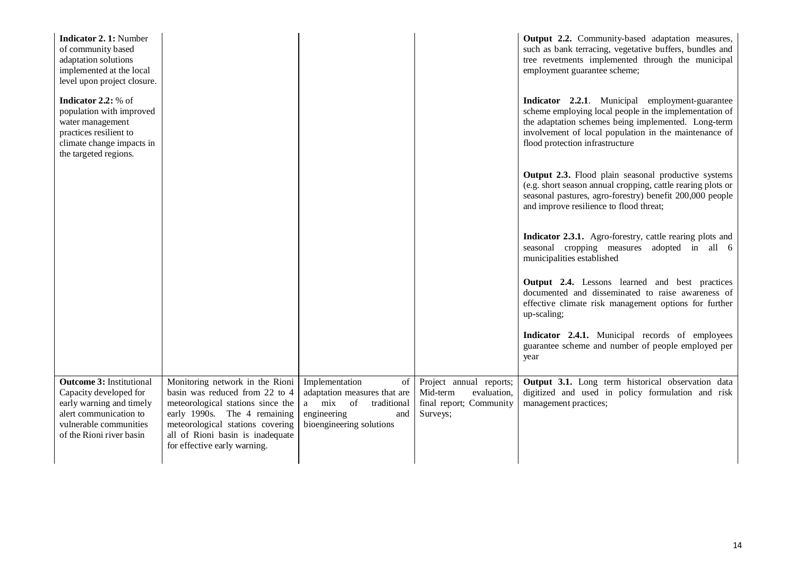| <b>Indicator 2.1: Number</b><br>of community based<br>adaptation solutions<br>implemented at the local<br>level upon project closure.                                 |                                                                                                                                                                                                                                                |                                                                                                                                   |                                                                                           | Output 2.2. Community-based adaptation measures,<br>such as bank terracing, vegetative buffers, bundles and<br>tree revetments implemented through the municipal<br>employment guarantee scheme;                                                             |
|-----------------------------------------------------------------------------------------------------------------------------------------------------------------------|------------------------------------------------------------------------------------------------------------------------------------------------------------------------------------------------------------------------------------------------|-----------------------------------------------------------------------------------------------------------------------------------|-------------------------------------------------------------------------------------------|--------------------------------------------------------------------------------------------------------------------------------------------------------------------------------------------------------------------------------------------------------------|
| Indicator 2.2: % of<br>population with improved<br>water management<br>practices resilient to<br>climate change impacts in<br>the targeted regions.                   |                                                                                                                                                                                                                                                |                                                                                                                                   |                                                                                           | Indicator 2.2.1. Municipal employment-guarantee<br>scheme employing local people in the implementation of<br>the adaptation schemes being implemented. Long-term<br>involvement of local population in the maintenance of<br>flood protection infrastructure |
|                                                                                                                                                                       |                                                                                                                                                                                                                                                |                                                                                                                                   |                                                                                           | <b>Output 2.3.</b> Flood plain seasonal productive systems<br>(e.g. short season annual cropping, cattle rearing plots or<br>seasonal pastures, agro-forestry) benefit 200,000 people<br>and improve resilience to flood threat;                             |
|                                                                                                                                                                       |                                                                                                                                                                                                                                                |                                                                                                                                   |                                                                                           | Indicator 2.3.1. Agro-forestry, cattle rearing plots and<br>seasonal cropping measures adopted in all 6<br>municipalities established                                                                                                                        |
|                                                                                                                                                                       |                                                                                                                                                                                                                                                |                                                                                                                                   |                                                                                           | Output 2.4. Lessons learned and best practices<br>documented and disseminated to raise awareness of<br>effective climate risk management options for further<br>up-scaling;                                                                                  |
|                                                                                                                                                                       |                                                                                                                                                                                                                                                |                                                                                                                                   |                                                                                           | Indicator 2.4.1. Municipal records of employees<br>guarantee scheme and number of people employed per<br>year                                                                                                                                                |
| <b>Outcome 3: Institutional</b><br>Capacity developed for<br>early warning and timely<br>alert communication to<br>vulnerable communities<br>of the Rioni river basin | Monitoring network in the Rioni<br>basin was reduced from 22 to 4<br>meteorological stations since the<br>early 1990s. The 4 remaining<br>meteorological stations covering<br>all of Rioni basin is inadequate<br>for effective early warning. | Implementation<br>of<br>adaptation measures that are<br>a mix of<br>traditional<br>engineering<br>and<br>bioengineering solutions | Project annual reports;<br>Mid-term<br>evaluation,<br>final report; Community<br>Surveys; | Output 3.1. Long term historical observation data<br>digitized and used in policy formulation and risk<br>management practices;                                                                                                                              |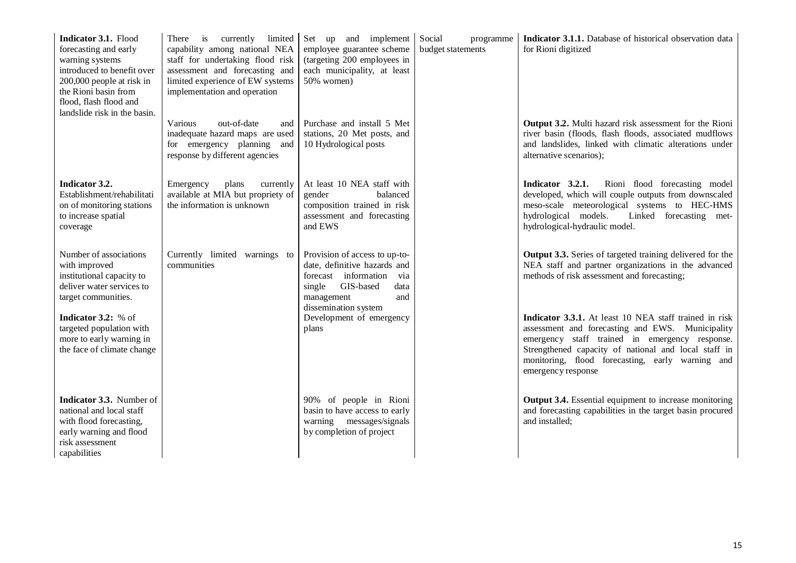| Indicator 3.1. Flood<br>forecasting and early<br>warning systems<br>introduced to benefit over<br>200,000 people at risk in<br>the Rioni basin from<br>flood, flash flood and | There is currently<br>limited<br>capability among national NEA<br>staff for undertaking flood risk<br>assessment and forecasting and<br>limited experience of EW systems<br>implementation and operation | Set up and implement<br>employee guarantee scheme<br>(targeting 200 employees in<br>each municipality, at least<br>50% women)                                            | Social<br>programme<br>budget statements | Indicator 3.1.1. Database of historical observation data<br>for Rioni digitized                                                                                                                                                                                                                |
|-------------------------------------------------------------------------------------------------------------------------------------------------------------------------------|----------------------------------------------------------------------------------------------------------------------------------------------------------------------------------------------------------|--------------------------------------------------------------------------------------------------------------------------------------------------------------------------|------------------------------------------|------------------------------------------------------------------------------------------------------------------------------------------------------------------------------------------------------------------------------------------------------------------------------------------------|
| landslide risk in the basin.                                                                                                                                                  | Various<br>out-of-date<br>and<br>inadequate hazard maps are used<br>for emergency planning and<br>response by different agencies                                                                         | Purchase and install 5 Met<br>stations, 20 Met posts, and<br>10 Hydrological posts                                                                                       |                                          | Output 3.2. Multi hazard risk assessment for the Rioni<br>river basin (floods, flash floods, associated mudflows<br>and landslides, linked with climatic alterations under<br>alternative scenarios);                                                                                          |
| Indicator 3.2.<br>Establishment/rehabilitati<br>on of monitoring stations<br>to increase spatial<br>coverage                                                                  | plans<br>Emergency<br>currently<br>available at MIA but propriety of<br>the information is unknown                                                                                                       | At least 10 NEA staff with<br>gender<br>balanced<br>composition trained in risk<br>assessment and forecasting<br>and EWS                                                 |                                          | Rioni flood forecasting model<br>Indicator 3.2.1.<br>developed, which will couple outputs from downscaled<br>meso-scale meteorological systems to HEC-HMS<br>hydrological models.<br>Linked forecasting met-<br>hydrological-hydraulic model.                                                  |
| Number of associations<br>with improved<br>institutional capacity to<br>deliver water services to<br>target communities.                                                      | Currently limited warnings to<br>communities                                                                                                                                                             | Provision of access to up-to-<br>date, definitive hazards and<br>forecast information<br>via<br>GIS-based<br>single<br>data<br>management<br>and<br>dissemination system |                                          | Output 3.3. Series of targeted training delivered for the<br>NEA staff and partner organizations in the advanced<br>methods of risk assessment and forecasting;                                                                                                                                |
| Indicator 3.2: % of<br>targeted population with<br>more to early warning in<br>the face of climate change                                                                     |                                                                                                                                                                                                          | Development of emergency<br>plans                                                                                                                                        |                                          | Indicator 3.3.1. At least 10 NEA staff trained in risk<br>assessment and forecasting and EWS. Municipality<br>emergency staff trained in emergency response.<br>Strengthened capacity of national and local staff in<br>monitoring, flood forecasting, early warning and<br>emergency response |
| Indicator 3.3. Number of<br>national and local staff<br>with flood forecasting,<br>early warning and flood<br>risk assessment<br>capabilities                                 |                                                                                                                                                                                                          | 90% of people in Rioni<br>basin to have access to early<br>warning messages/signals<br>by completion of project                                                          |                                          | Output 3.4. Essential equipment to increase monitoring<br>and forecasting capabilities in the target basin procured<br>and installed;                                                                                                                                                          |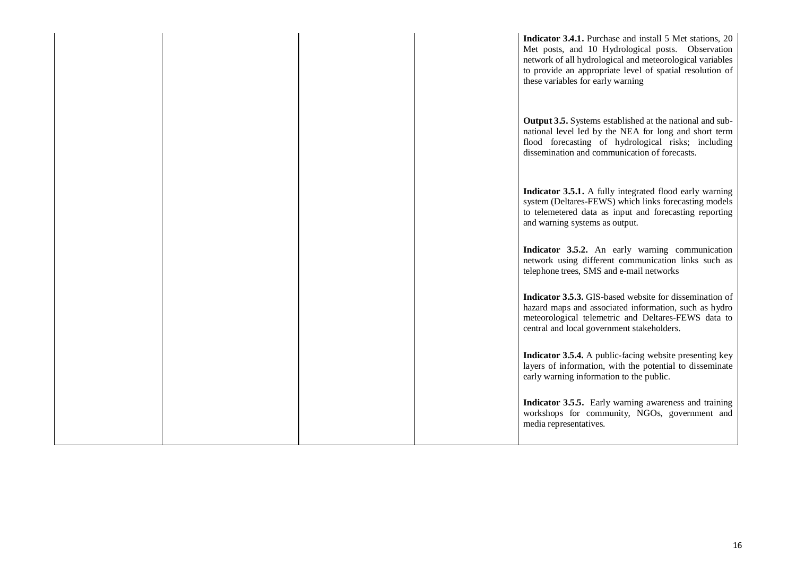|  |  | Indicator 3.4.1. Purchase and install 5 Met stations, 20<br>Met posts, and 10 Hydrological posts. Observation<br>network of all hydrological and meteorological variables<br>to provide an appropriate level of spatial resolution of<br>these variables for early warning |
|--|--|----------------------------------------------------------------------------------------------------------------------------------------------------------------------------------------------------------------------------------------------------------------------------|
|  |  | <b>Output 3.5.</b> Systems established at the national and sub-<br>national level led by the NEA for long and short term<br>flood forecasting of hydrological risks; including<br>dissemination and communication of forecasts.                                            |
|  |  | Indicator 3.5.1. A fully integrated flood early warning<br>system (Deltares-FEWS) which links forecasting models<br>to telemetered data as input and forecasting reporting<br>and warning systems as output.                                                               |
|  |  | Indicator 3.5.2. An early warning communication<br>network using different communication links such as<br>telephone trees, SMS and e-mail networks                                                                                                                         |
|  |  | Indicator 3.5.3. GIS-based website for dissemination of<br>hazard maps and associated information, such as hydro<br>meteorological telemetric and Deltares-FEWS data to<br>central and local government stakeholders.                                                      |
|  |  | Indicator 3.5.4. A public-facing website presenting key<br>layers of information, with the potential to disseminate<br>early warning information to the public.                                                                                                            |
|  |  | <b>Indicator 3.5.5.</b> Early warning awareness and training<br>workshops for community, NGOs, government and<br>media representatives.                                                                                                                                    |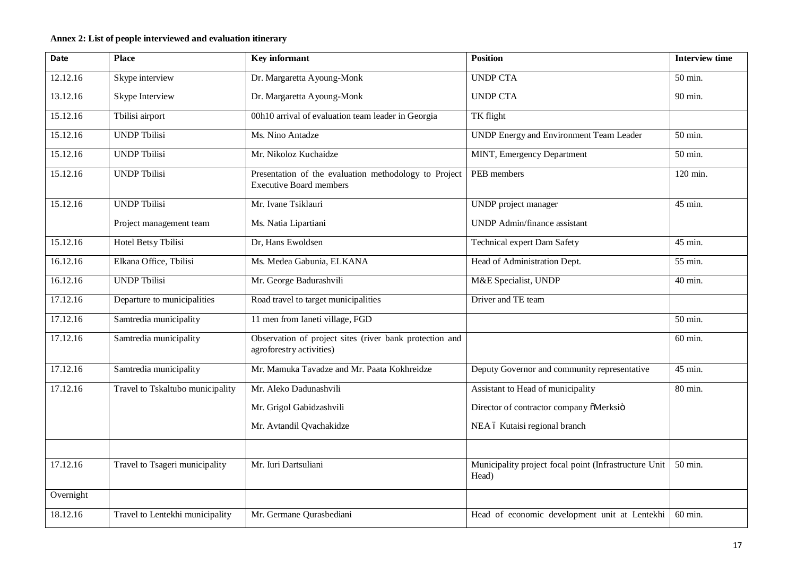# **Annex 2: List of people interviewed and evaluation itinerary**

| <b>Date</b> | <b>Place</b>                     | <b>Key informant</b>                                                                    | <b>Position</b>                                                | <b>Interview time</b> |
|-------------|----------------------------------|-----------------------------------------------------------------------------------------|----------------------------------------------------------------|-----------------------|
| 12.12.16    | Skype interview                  | Dr. Margaretta Ayoung-Monk                                                              | <b>UNDP CTA</b>                                                | 50 min.               |
| 13.12.16    | Skype Interview                  | Dr. Margaretta Ayoung-Monk                                                              | <b>UNDP CTA</b>                                                | 90 min.               |
| 15.12.16    | Tbilisi airport                  | 00h10 arrival of evaluation team leader in Georgia                                      | TK flight                                                      |                       |
| 15.12.16    | <b>UNDP Tbilisi</b>              | Ms. Nino Antadze                                                                        | UNDP Energy and Environment Team Leader                        | 50 min.               |
| 15.12.16    | <b>UNDP Tbilisi</b>              | Mr. Nikoloz Kuchaidze                                                                   | MINT, Emergency Department                                     | 50 min.               |
| 15.12.16    | <b>UNDP Tbilisi</b>              | Presentation of the evaluation methodology to Project<br><b>Executive Board members</b> | PEB members                                                    | 120 min.              |
| 15.12.16    | <b>UNDP</b> Tbilisi              | Mr. Ivane Tsiklauri                                                                     | UNDP project manager                                           | 45 min.               |
|             | Project management team          | Ms. Natia Lipartiani                                                                    | <b>UNDP</b> Admin/finance assistant                            |                       |
| 15.12.16    | <b>Hotel Betsy Tbilisi</b>       | Dr, Hans Ewoldsen                                                                       | Technical expert Dam Safety                                    | 45 min.               |
| 16.12.16    | Elkana Office, Tbilisi           | Ms. Medea Gabunia, ELKANA                                                               | Head of Administration Dept.                                   | 55 min.               |
| 16.12.16    | <b>UNDP Tbilisi</b>              | Mr. George Badurashvili                                                                 | M&E Specialist, UNDP                                           | 40 min.               |
| 17.12.16    | Departure to municipalities      | Road travel to target municipalities                                                    | Driver and TE team                                             |                       |
| 17.12.16    | Samtredia municipality           | 11 men from Ianeti village, FGD                                                         |                                                                | 50 min.               |
| 17.12.16    | Samtredia municipality           | Observation of project sites (river bank protection and<br>agroforestry activities)     |                                                                | 60 min.               |
| 17.12.16    | Samtredia municipality           | Mr. Mamuka Tavadze and Mr. Paata Kokhreidze                                             | Deputy Governor and community representative                   | 45 min.               |
| 17.12.16    | Travel to Tskaltubo municipality | Mr. Aleko Dadunashvili                                                                  | Assistant to Head of municipality                              | 80 min.               |
|             |                                  | Mr. Grigol Gabidzashvili                                                                | Director of contractor company õMerksiö                        |                       |
|             |                                  | Mr. Avtandil Qvachakidze                                                                | NEA ó Kutaisi regional branch                                  |                       |
|             |                                  |                                                                                         |                                                                |                       |
| 17.12.16    | Travel to Tsageri municipality   | Mr. Iuri Dartsuliani                                                                    | Municipality project focal point (Infrastructure Unit<br>Head) | 50 min.               |
| Overnight   |                                  |                                                                                         |                                                                |                       |
| 18.12.16    | Travel to Lentekhi municipality  | Mr. Germane Qurasbediani                                                                | Head of economic development unit at Lentekhi                  | 60 min.               |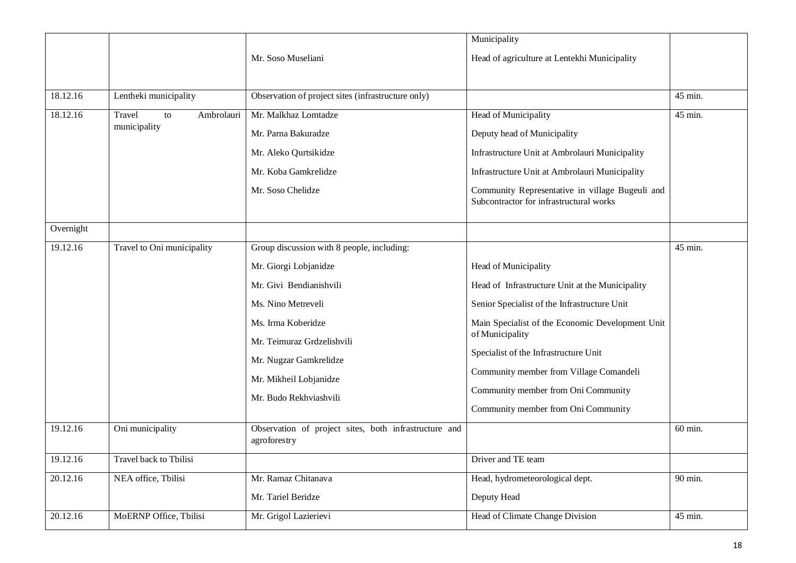|           |                            |                                                                       | Municipality                                                                               |         |
|-----------|----------------------------|-----------------------------------------------------------------------|--------------------------------------------------------------------------------------------|---------|
|           |                            | Mr. Soso Museliani                                                    | Head of agriculture at Lentekhi Municipality                                               |         |
|           |                            |                                                                       |                                                                                            |         |
| 18.12.16  | Lentheki municipality      | Observation of project sites (infrastructure only)                    |                                                                                            | 45 min. |
| 18.12.16  | Travel<br>Ambrolauri<br>to | Mr. Malkhaz Lomtadze                                                  | Head of Municipality                                                                       | 45 min. |
|           | municipality               | Mr. Parna Bakuradze                                                   | Deputy head of Municipality                                                                |         |
|           |                            | Mr. Aleko Qurtsikidze                                                 | Infrastructure Unit at Ambrolauri Municipality                                             |         |
|           |                            | Mr. Koba Gamkrelidze                                                  | Infrastructure Unit at Ambrolauri Municipality                                             |         |
|           |                            | Mr. Soso Chelidze                                                     | Community Representative in village Bugeuli and<br>Subcontractor for infrastructural works |         |
| Overnight |                            |                                                                       |                                                                                            |         |
| 19.12.16  | Travel to Oni municipality | Group discussion with 8 people, including:                            |                                                                                            | 45 min. |
|           |                            | Mr. Giorgi Lobjanidze                                                 | Head of Municipality                                                                       |         |
|           |                            | Mr. Givi Bendianishvili                                               | Head of Infrastructure Unit at the Municipality                                            |         |
|           |                            | Ms. Nino Metreveli                                                    | Senior Specialist of the Infrastructure Unit                                               |         |
|           |                            | Ms. Irma Koberidze                                                    | Main Specialist of the Economic Development Unit                                           |         |
|           |                            | Mr. Teimuraz Grdzelishvili                                            | of Municipality                                                                            |         |
|           |                            | Mr. Nugzar Gamkrelidze                                                | Specialist of the Infrastructure Unit                                                      |         |
|           |                            | Mr. Mikheil Lobjanidze                                                | Community member from Village Comandeli                                                    |         |
|           |                            | Mr. Budo Rekhviashvili                                                | Community member from Oni Community                                                        |         |
|           |                            |                                                                       | Community member from Oni Community                                                        |         |
| 19.12.16  | Oni municipality           | Observation of project sites, both infrastructure and<br>agroforestry |                                                                                            | 60 min. |
| 19.12.16  | Travel back to Tbilisi     |                                                                       | Driver and TE team                                                                         |         |
| 20.12.16  | NEA office, Tbilisi        | Mr. Ramaz Chitanava                                                   | Head, hydrometeorological dept.                                                            | 90 min. |
|           |                            | Mr. Tariel Beridze                                                    | Deputy Head                                                                                |         |
| 20.12.16  | MoERNP Office, Tbilisi     | Mr. Grigol Lazierievi                                                 | Head of Climate Change Division                                                            | 45 min. |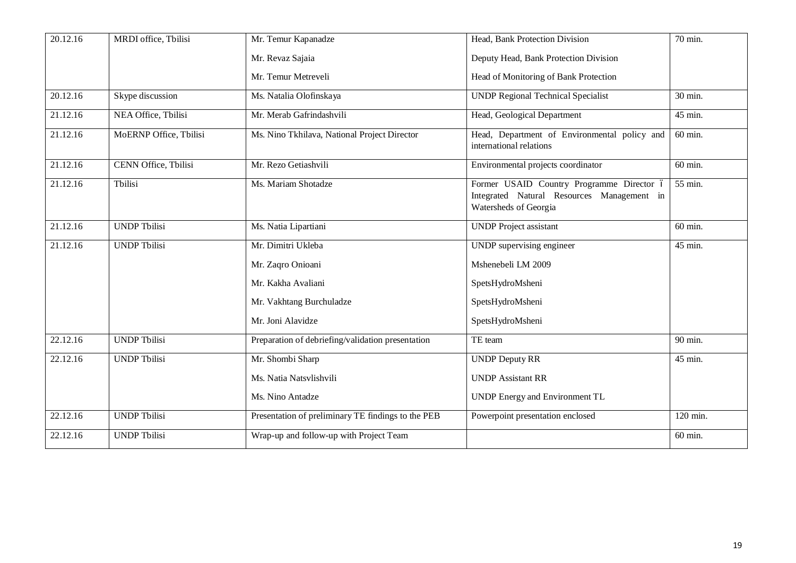| 20.12.16 | MRDI office, Tbilisi        | Mr. Temur Kapanadze                                | Head, Bank Protection Division                                                                                   | 70 min.   |
|----------|-----------------------------|----------------------------------------------------|------------------------------------------------------------------------------------------------------------------|-----------|
|          |                             | Mr. Revaz Sajaia                                   | Deputy Head, Bank Protection Division                                                                            |           |
|          |                             | Mr. Temur Metreveli                                | Head of Monitoring of Bank Protection                                                                            |           |
| 20.12.16 | Skype discussion            | Ms. Natalia Olofinskaya                            | <b>UNDP Regional Technical Specialist</b>                                                                        | 30 min.   |
| 21.12.16 | NEA Office, Tbilisi         | Mr. Merab Gafrindashvili                           | Head, Geological Department                                                                                      | 45 min.   |
| 21.12.16 | MoERNP Office, Tbilisi      | Ms. Nino Tkhilava, National Project Director       | Head, Department of Environmental policy and<br>international relations                                          | 60 min.   |
| 21.12.16 | <b>CENN Office, Tbilisi</b> | Mr. Rezo Getiashvili                               | Environmental projects coordinator                                                                               | 60 min.   |
| 21.12.16 | Tbilisi                     | Ms. Mariam Shotadze                                | Former USAID Country Programme Director ó<br>Integrated Natural Resources Management in<br>Watersheds of Georgia | 55 min.   |
| 21.12.16 | <b>UNDP Tbilisi</b>         | Ms. Natia Lipartiani                               | <b>UNDP</b> Project assistant                                                                                    | $60$ min. |
| 21.12.16 | <b>UNDP Tbilisi</b>         | Mr. Dimitri Ukleba                                 | UNDP supervising engineer                                                                                        | 45 min.   |
|          |                             | Mr. Zaqro Onioani                                  | Mshenebeli LM 2009                                                                                               |           |
|          |                             | Mr. Kakha Avaliani                                 | SpetsHydroMsheni                                                                                                 |           |
|          |                             | Mr. Vakhtang Burchuladze                           | SpetsHydroMsheni                                                                                                 |           |
|          |                             | Mr. Joni Alavidze                                  | SpetsHydroMsheni                                                                                                 |           |
| 22.12.16 | <b>UNDP Tbilisi</b>         | Preparation of debriefing/validation presentation  | TE team                                                                                                          | 90 min.   |
| 22.12.16 | <b>UNDP Tbilisi</b>         | Mr. Shombi Sharp                                   | <b>UNDP Deputy RR</b>                                                                                            | 45 min.   |
|          |                             | Ms. Natia Natsvlishvili                            | <b>UNDP Assistant RR</b>                                                                                         |           |
|          |                             | Ms. Nino Antadze                                   | <b>UNDP</b> Energy and Environment TL                                                                            |           |
| 22.12.16 | <b>UNDP Tbilisi</b>         | Presentation of preliminary TE findings to the PEB | Powerpoint presentation enclosed                                                                                 | 120 min.  |
| 22.12.16 | <b>UNDP Tbilisi</b>         | Wrap-up and follow-up with Project Team            |                                                                                                                  | 60 min.   |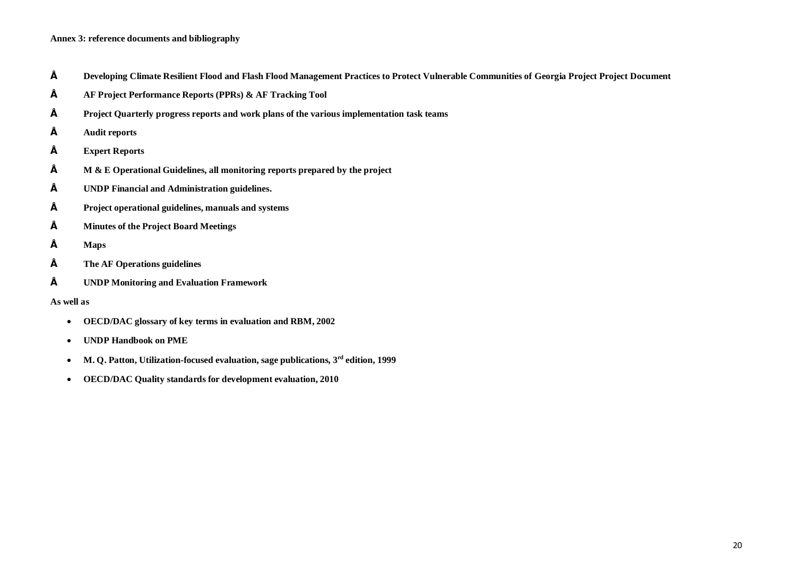### **Annex 3: reference documents and bibliography**

- **• Developing Climate Resilient Flood and Flash Flood Management Practices to Protect Vulnerable Communities of Georgia Project Project Document**
- **• AF Project Performance Reports (PPRs) & AF Tracking Tool**
- **• Project Quarterly progress reports and work plans of the various implementation task teams**
- **• Audit reports**
- **• Expert Reports**
- **• M & E Operational Guidelines, all monitoring reports prepared by the project**
- **• UNDP Financial and Administration guidelines.**
- **• Project operational guidelines, manuals and systems**
- **• Minutes of the Project Board Meetings**
- **• Maps**
- **• The AF Operations guidelines**
- **• UNDP Monitoring and Evaluation Framework**

#### **As well as**

- · **OECD/DAC glossary of key terms in evaluation and RBM, 2002**
- · **UNDP Handbook on PME**
- · **M. Q. Patton, Utilization-focused evaluation, sage publications, 3rd edition, 1999**
- · **OECD/DAC Quality standards for development evaluation, 2010**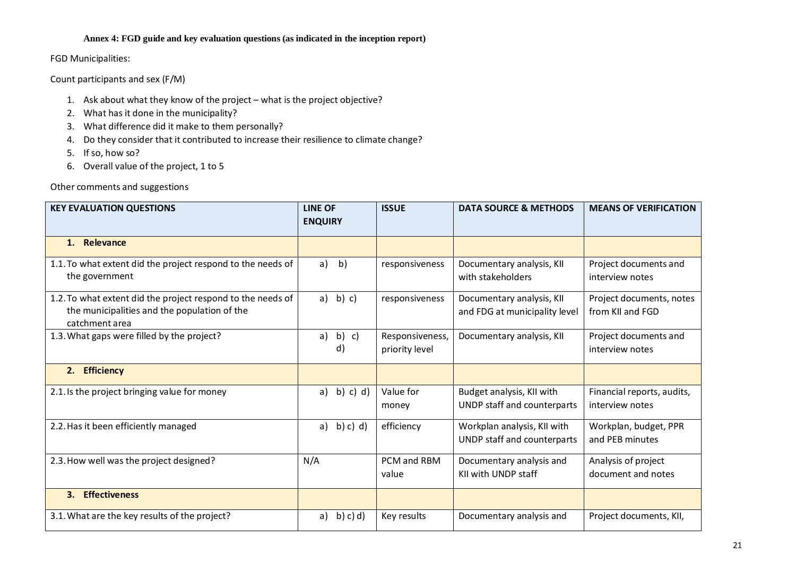# **Annex 4: FGD guide and key evaluation questions (as indicated in the inception report)**

FGD Municipalities:

Count participants and sex (F/M)

- 1. Ask about what they know of the project what is the project objective?
- 2. What has it done in the municipality?
- 3. What difference did it make to them personally?
- 4. Do they consider that it contributed to increase their resilience to climate change?
- 5. If so, how so?
- 6. Overall value of the project, 1 to 5

Other comments and suggestions

| <b>KEY EVALUATION QUESTIONS</b>                                                                                               | <b>LINE OF</b><br><b>ENQUIRY</b> | <b>ISSUE</b>                      | <b>DATA SOURCE &amp; METHODS</b>                           | <b>MEANS OF VERIFICATION</b>                  |
|-------------------------------------------------------------------------------------------------------------------------------|----------------------------------|-----------------------------------|------------------------------------------------------------|-----------------------------------------------|
| 1. Relevance                                                                                                                  |                                  |                                   |                                                            |                                               |
| 1.1. To what extent did the project respond to the needs of<br>the government                                                 | a)<br>$\mathsf{b}$               | responsiveness                    | Documentary analysis, KII<br>with stakeholders             | Project documents and<br>interview notes      |
| 1.2. To what extent did the project respond to the needs of<br>the municipalities and the population of the<br>catchment area | b) c)<br>a)                      | responsiveness                    | Documentary analysis, KII<br>and FDG at municipality level | Project documents, notes<br>from KII and FGD  |
| 1.3. What gaps were filled by the project?                                                                                    | b)<br>a)<br>c)<br>d)             | Responsiveness,<br>priority level | Documentary analysis, KII                                  | Project documents and<br>interview notes      |
| 2. Efficiency                                                                                                                 |                                  |                                   |                                                            |                                               |
| 2.1. Is the project bringing value for money                                                                                  | b) c) d)<br>a)                   | Value for<br>money                | Budget analysis, KII with<br>UNDP staff and counterparts   | Financial reports, audits,<br>interview notes |
| 2.2. Has it been efficiently managed                                                                                          | b) c) d)<br>a)                   | efficiency                        | Workplan analysis, KII with<br>UNDP staff and counterparts | Workplan, budget, PPR<br>and PEB minutes      |
| 2.3. How well was the project designed?                                                                                       | N/A                              | PCM and RBM<br>value              | Documentary analysis and<br>KII with UNDP staff            | Analysis of project<br>document and notes     |
| <b>Effectiveness</b><br>3.                                                                                                    |                                  |                                   |                                                            |                                               |
| 3.1. What are the key results of the project?                                                                                 | a)<br>b) c) d)                   | Key results                       | Documentary analysis and                                   | Project documents, KII,                       |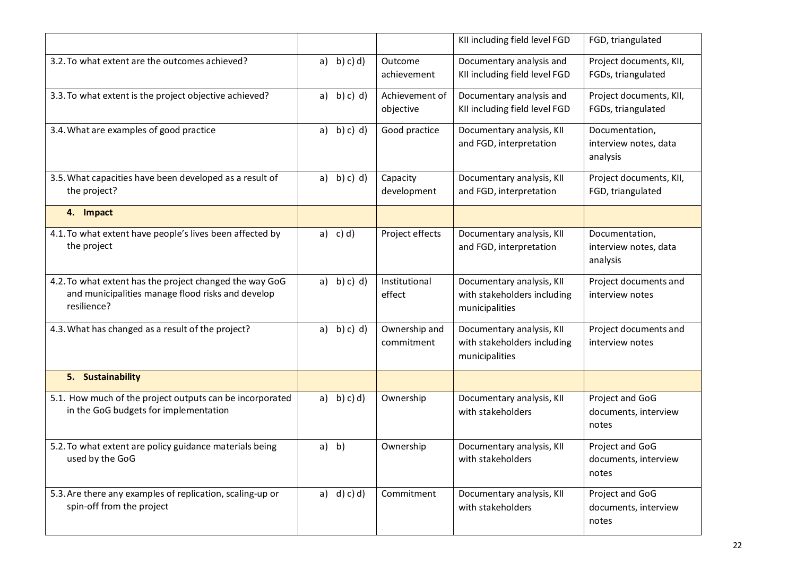|                                                                                                                             |                |                             | KII including field level FGD                                              | FGD, triangulated                                   |
|-----------------------------------------------------------------------------------------------------------------------------|----------------|-----------------------------|----------------------------------------------------------------------------|-----------------------------------------------------|
| 3.2. To what extent are the outcomes achieved?                                                                              | a) b) c) d)    | Outcome<br>achievement      | Documentary analysis and<br>KII including field level FGD                  | Project documents, KII,<br>FGDs, triangulated       |
| 3.3. To what extent is the project objective achieved?                                                                      | $a)$ b) c) d)  | Achievement of<br>objective | Documentary analysis and<br>KII including field level FGD                  | Project documents, KII,<br>FGDs, triangulated       |
| 3.4. What are examples of good practice                                                                                     | b) c) d)<br>a) | Good practice               | Documentary analysis, KII<br>and FGD, interpretation                       | Documentation,<br>interview notes, data<br>analysis |
| 3.5. What capacities have been developed as a result of<br>the project?                                                     | b) c) d)<br>a) | Capacity<br>development     | Documentary analysis, KII<br>and FGD, interpretation                       | Project documents, KII,<br>FGD, triangulated        |
| 4. Impact                                                                                                                   |                |                             |                                                                            |                                                     |
| 4.1. To what extent have people's lives been affected by<br>the project                                                     | $c)$ d)<br>a)  | Project effects             | Documentary analysis, KII<br>and FGD, interpretation                       | Documentation,<br>interview notes, data<br>analysis |
| 4.2. To what extent has the project changed the way GoG<br>and municipalities manage flood risks and develop<br>resilience? | b) c) d)<br>a) | Institutional<br>effect     | Documentary analysis, KII<br>with stakeholders including<br>municipalities | Project documents and<br>interview notes            |
| 4.3. What has changed as a result of the project?                                                                           | b) c) d)<br>a) | Ownership and<br>commitment | Documentary analysis, KII<br>with stakeholders including<br>municipalities | Project documents and<br>interview notes            |
| 5. Sustainability                                                                                                           |                |                             |                                                                            |                                                     |
| 5.1. How much of the project outputs can be incorporated<br>in the GoG budgets for implementation                           | b) c) d)<br>a) | Ownership                   | Documentary analysis, KII<br>with stakeholders                             | Project and GoG<br>documents, interview<br>notes    |
| 5.2. To what extent are policy guidance materials being<br>used by the GoG                                                  | a) b)          | Ownership                   | Documentary analysis, KII<br>with stakeholders                             | Project and GoG<br>documents, interview<br>notes    |
| 5.3. Are there any examples of replication, scaling-up or<br>spin-off from the project                                      | a) $d$ ) c) d) | Commitment                  | Documentary analysis, KII<br>with stakeholders                             | Project and GoG<br>documents, interview<br>notes    |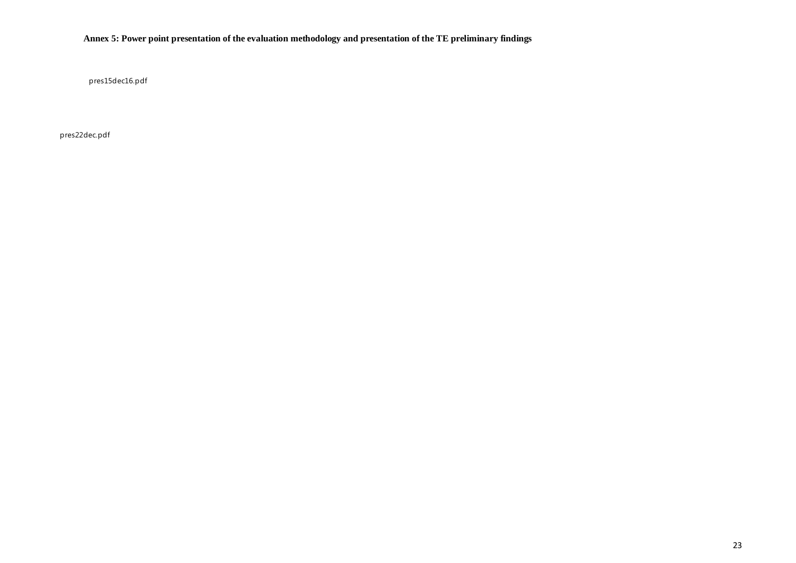# **Annex 5: Power point presentation of the evaluation methodology and presentation of the TE preliminary findings**

pres15dec16.pdf

pres22dec.pdf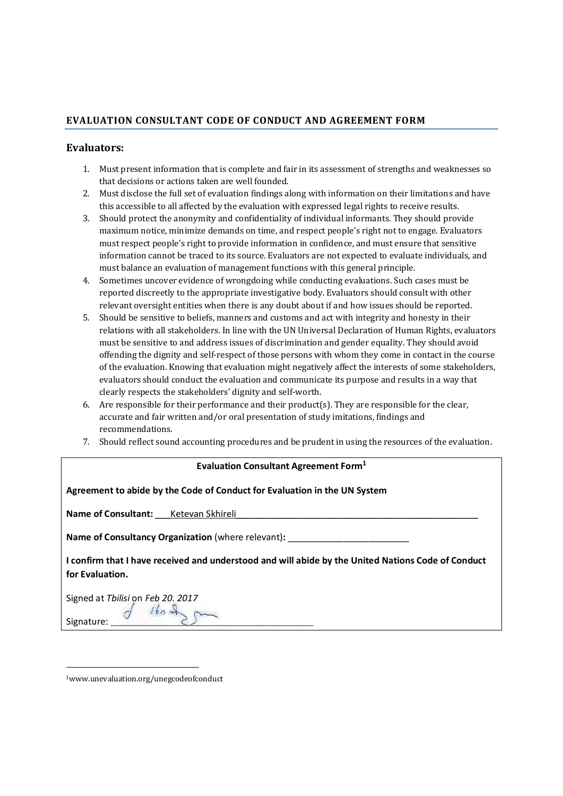# **EVALUATION CONSULTANT CODE OF CONDUCT AND AGREEMENT FORM**

# **Evaluators:**

- 1. Must present information that is complete and fair in its assessment of strengths and weaknesses so that decisions or actions taken are well founded.
- 2. Must disclose the full set of evaluation findings along with information on their limitations and have this accessible to all affected by the evaluation with expressed legal rights to receive results.
- 3. Should protect the anonymity and confidentiality of individual informants. They should provide maximum notice, minimize demands on time, and respect people's right not to engage. Evaluators must respect people's right to provide information in confidence, and must ensure that sensitive information cannot be traced to its source. Evaluators are not expected to evaluate individuals, and must balance an evaluation of management functions with this general principle.
- 4. Sometimes uncover evidence of wrongdoing while conducting evaluations. Such cases must be reported discreetly to the appropriate investigative body. Evaluators should consult with other relevant oversight entities when there is any doubt about if and how issues should be reported.
- 5. Should be sensitive to beliefs, manners and customs and act with integrity and honesty in their relations with all stakeholders. In line with the UN Universal Declaration of Human Rights, evaluators must be sensitive to and address issues of discrimination and gender equality. They should avoid offending the dignity and self-respect of those persons with whom they come in contact in the course of the evaluation. Knowing that evaluation might negatively affect the interests of some stakeholders, evaluators should conduct the evaluation and communicate its purpose and results in a way that clearly respects the stakeholders' dignity and self-worth.
- 6. Are responsible for their performance and their product(s). They are responsible for the clear, accurate and fair written and/or oral presentation of study imitations, findings and recommendations.
- 7. Should reflect sound accounting procedures and be prudent in using the resources of the evaluation.

# **Evaluation Consultant Agreement Form1**

| Agreement to abide by the Code of Conduct for Evaluation in the UN System                                             |  |  |  |  |  |
|-----------------------------------------------------------------------------------------------------------------------|--|--|--|--|--|
| <b>Name of Consultant:</b> Ketevan Skhireli                                                                           |  |  |  |  |  |
| <b>Name of Consultancy Organization</b> (where relevant):                                                             |  |  |  |  |  |
| I confirm that I have received and understood and will abide by the United Nations Code of Conduct<br>for Evaluation. |  |  |  |  |  |
| Signed at Tbilisi on Feb 20. 2017<br>$d$ 1602                                                                         |  |  |  |  |  |

1www.unevaluation.org/unegcodeofconduct

Signature:

.<br>-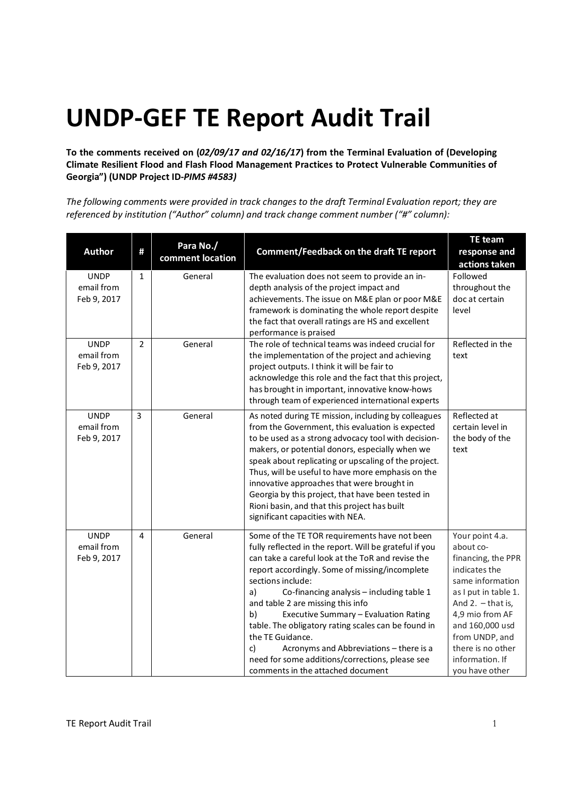# **UNDP-GEF TE Report Audit Trail**

**To the comments received on (***02/09/17 and 02/16/17***) from the Terminal Evaluation of (Developing Climate Resilient Flood and Flash Flood Management Practices to Protect Vulnerable Communities of Georgia") (UNDP Project ID-***PIMS #4583)*

*The following comments were provided in track changes to the draft Terminal Evaluation report; they are referenced by institution ("Author" column) and track change comment number ("#" column):*

|                                          |                |                               |                                                                                                                                                                                                                                                                                                                                                                                                                                                                                                                                                                                                | <b>TE</b> team                                                                                                                                                                                                                                           |
|------------------------------------------|----------------|-------------------------------|------------------------------------------------------------------------------------------------------------------------------------------------------------------------------------------------------------------------------------------------------------------------------------------------------------------------------------------------------------------------------------------------------------------------------------------------------------------------------------------------------------------------------------------------------------------------------------------------|----------------------------------------------------------------------------------------------------------------------------------------------------------------------------------------------------------------------------------------------------------|
| <b>Author</b>                            | Ħ              | Para No./<br>comment location | <b>Comment/Feedback on the draft TE report</b>                                                                                                                                                                                                                                                                                                                                                                                                                                                                                                                                                 | response and<br>actions taken                                                                                                                                                                                                                            |
| <b>UNDP</b><br>email from<br>Feb 9, 2017 | $\mathbf{1}$   | General                       | The evaluation does not seem to provide an in-<br>depth analysis of the project impact and<br>achievements. The issue on M&E plan or poor M&E<br>framework is dominating the whole report despite<br>the fact that overall ratings are HS and excellent<br>performance is praised                                                                                                                                                                                                                                                                                                              | Followed<br>throughout the<br>doc at certain<br>level                                                                                                                                                                                                    |
| <b>UNDP</b><br>email from<br>Feb 9, 2017 | $\overline{2}$ | General                       | The role of technical teams was indeed crucial for<br>the implementation of the project and achieving<br>project outputs. I think it will be fair to<br>acknowledge this role and the fact that this project,<br>has brought in important, innovative know-hows<br>through team of experienced international experts                                                                                                                                                                                                                                                                           | Reflected in the<br>text                                                                                                                                                                                                                                 |
| <b>UNDP</b><br>email from<br>Feb 9, 2017 | 3              | General                       | As noted during TE mission, including by colleagues<br>from the Government, this evaluation is expected<br>to be used as a strong advocacy tool with decision-<br>makers, or potential donors, especially when we<br>speak about replicating or upscaling of the project.<br>Thus, will be useful to have more emphasis on the<br>innovative approaches that were brought in<br>Georgia by this project, that have been tested in<br>Rioni basin, and that this project has built<br>significant capacities with NEA.                                                                          | Reflected at<br>certain level in<br>the body of the<br>text                                                                                                                                                                                              |
| <b>UNDP</b><br>email from<br>Feb 9, 2017 | 4              | General                       | Some of the TE TOR requirements have not been<br>fully reflected in the report. Will be grateful if you<br>can take a careful look at the ToR and revise the<br>report accordingly. Some of missing/incomplete<br>sections include:<br>a)<br>Co-financing analysis - including table 1<br>and table 2 are missing this info<br>Executive Summary - Evaluation Rating<br>b)<br>table. The obligatory rating scales can be found in<br>the TE Guidance.<br>Acronyms and Abbreviations - there is a<br>c)<br>need for some additions/corrections, please see<br>comments in the attached document | Your point 4.a.<br>about co-<br>financing, the PPR<br>indicates the<br>same information<br>as I put in table 1.<br>And $2. -$ that is,<br>4,9 mio from AF<br>and 160,000 usd<br>from UNDP, and<br>there is no other<br>information. If<br>you have other |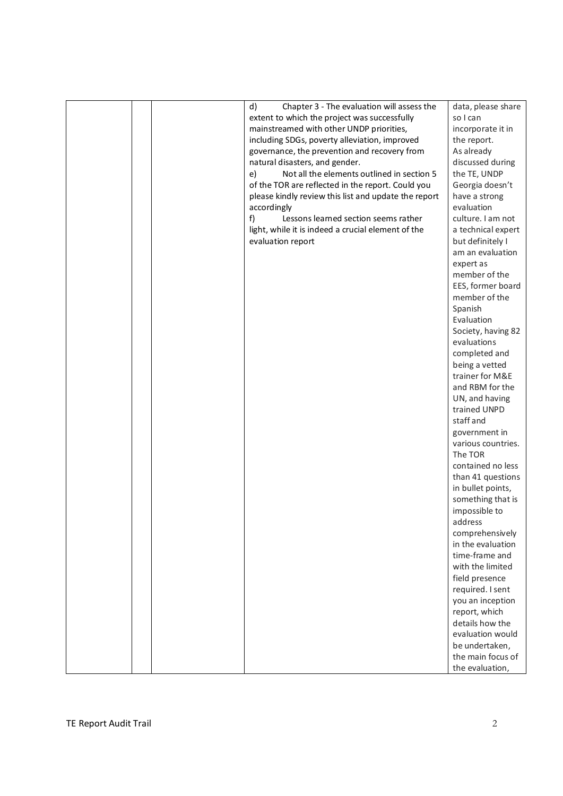|  | Chapter 3 - The evaluation will assess the<br>d)     | data, please share |
|--|------------------------------------------------------|--------------------|
|  | extent to which the project was successfully         | so I can           |
|  | mainstreamed with other UNDP priorities,             | incorporate it in  |
|  | including SDGs, poverty alleviation, improved        | the report.        |
|  | governance, the prevention and recovery from         | As already         |
|  | natural disasters, and gender.                       | discussed during   |
|  | Not all the elements outlined in section 5<br>e)     | the TE, UNDP       |
|  | of the TOR are reflected in the report. Could you    | Georgia doesn't    |
|  | please kindly review this list and update the report | have a strong      |
|  | accordingly                                          | evaluation         |
|  | Lessons learned section seems rather<br>f)           | culture. I am not  |
|  |                                                      | a technical expert |
|  | light, while it is indeed a crucial element of the   |                    |
|  | evaluation report                                    | but definitely I   |
|  |                                                      | am an evaluation   |
|  |                                                      | expert as          |
|  |                                                      | member of the      |
|  |                                                      | EES, former board  |
|  |                                                      | member of the      |
|  |                                                      | Spanish            |
|  |                                                      | Evaluation         |
|  |                                                      | Society, having 82 |
|  |                                                      | evaluations        |
|  |                                                      | completed and      |
|  |                                                      | being a vetted     |
|  |                                                      | trainer for M&E    |
|  |                                                      | and RBM for the    |
|  |                                                      | UN, and having     |
|  |                                                      | trained UNPD       |
|  |                                                      | staff and          |
|  |                                                      | government in      |
|  |                                                      | various countries. |
|  |                                                      | The TOR            |
|  |                                                      | contained no less  |
|  |                                                      | than 41 questions  |
|  |                                                      | in bullet points,  |
|  |                                                      | something that is  |
|  |                                                      | impossible to      |
|  |                                                      | address            |
|  |                                                      | comprehensively    |
|  |                                                      | in the evaluation  |
|  |                                                      | time-frame and     |
|  |                                                      | with the limited   |
|  |                                                      | field presence     |
|  |                                                      | required. I sent   |
|  |                                                      | you an inception   |
|  |                                                      | report, which      |
|  |                                                      | details how the    |
|  |                                                      | evaluation would   |
|  |                                                      | be undertaken,     |
|  |                                                      | the main focus of  |
|  |                                                      | the evaluation,    |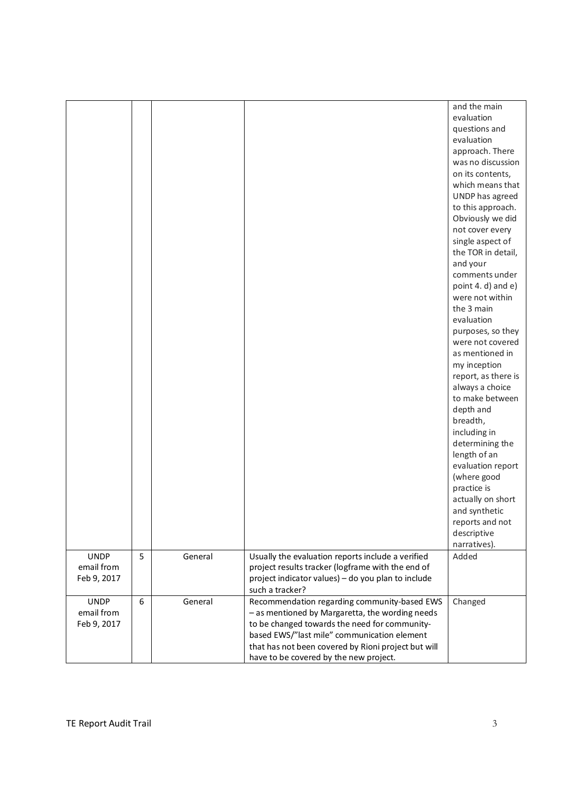|                                          |   |         |                                                                                                                                                                                                                                                                                                  | and the main<br>evaluation<br>questions and<br>evaluation<br>approach. There<br>was no discussion<br>on its contents,<br>which means that<br>UNDP has agreed<br>to this approach.<br>Obviously we did<br>not cover every<br>single aspect of<br>the TOR in detail,<br>and your<br>comments under<br>point 4. d) and e)<br>were not within<br>the 3 main<br>evaluation<br>purposes, so they<br>were not covered<br>as mentioned in<br>my inception<br>report, as there is<br>always a choice<br>to make between<br>depth and<br>breadth,<br>including in<br>determining the<br>length of an<br>evaluation report<br>(where good<br>practice is<br>actually on short |
|------------------------------------------|---|---------|--------------------------------------------------------------------------------------------------------------------------------------------------------------------------------------------------------------------------------------------------------------------------------------------------|--------------------------------------------------------------------------------------------------------------------------------------------------------------------------------------------------------------------------------------------------------------------------------------------------------------------------------------------------------------------------------------------------------------------------------------------------------------------------------------------------------------------------------------------------------------------------------------------------------------------------------------------------------------------|
|                                          |   |         |                                                                                                                                                                                                                                                                                                  | and synthetic<br>reports and not<br>descriptive<br>narratives).                                                                                                                                                                                                                                                                                                                                                                                                                                                                                                                                                                                                    |
| <b>UNDP</b><br>email from<br>Feb 9, 2017 | 5 | General | Usually the evaluation reports include a verified<br>project results tracker (logframe with the end of<br>project indicator values) - do you plan to include<br>such a tracker?                                                                                                                  | Added                                                                                                                                                                                                                                                                                                                                                                                                                                                                                                                                                                                                                                                              |
| <b>UNDP</b><br>email from<br>Feb 9, 2017 | 6 | General | Recommendation regarding community-based EWS<br>- as mentioned by Margaretta, the wording needs<br>to be changed towards the need for community-<br>based EWS/"last mile" communication element<br>that has not been covered by Rioni project but will<br>have to be covered by the new project. | Changed                                                                                                                                                                                                                                                                                                                                                                                                                                                                                                                                                                                                                                                            |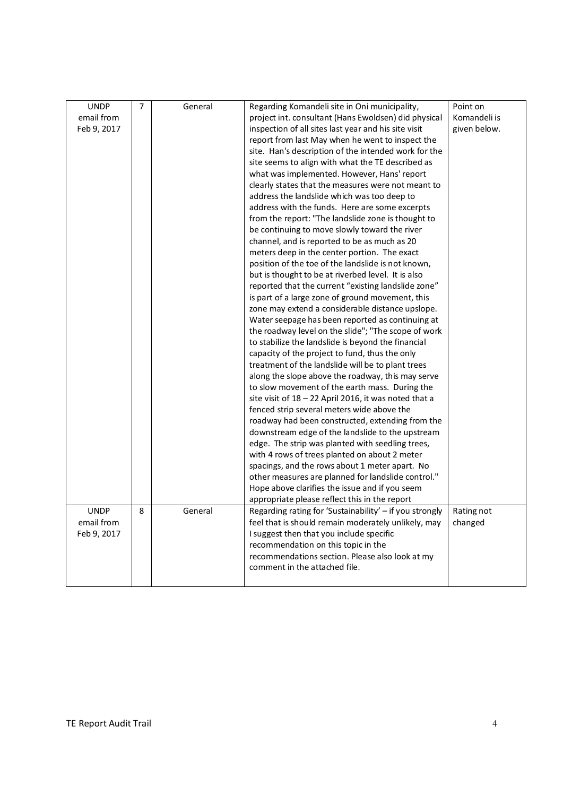| <b>UNDP</b> | 7 | General | Regarding Komandeli site in Oni municipality,           | Point on     |
|-------------|---|---------|---------------------------------------------------------|--------------|
| email from  |   |         | project int. consultant (Hans Ewoldsen) did physical    | Komandeli is |
| Feb 9, 2017 |   |         | inspection of all sites last year and his site visit    | given below. |
|             |   |         | report from last May when he went to inspect the        |              |
|             |   |         | site. Han's description of the intended work for the    |              |
|             |   |         | site seems to align with what the TE described as       |              |
|             |   |         | what was implemented. However, Hans' report             |              |
|             |   |         | clearly states that the measures were not meant to      |              |
|             |   |         | address the landslide which was too deep to             |              |
|             |   |         | address with the funds. Here are some excerpts          |              |
|             |   |         | from the report: "The landslide zone is thought to      |              |
|             |   |         | be continuing to move slowly toward the river           |              |
|             |   |         | channel, and is reported to be as much as 20            |              |
|             |   |         | meters deep in the center portion. The exact            |              |
|             |   |         | position of the toe of the landslide is not known,      |              |
|             |   |         | but is thought to be at riverbed level. It is also      |              |
|             |   |         | reported that the current "existing landslide zone"     |              |
|             |   |         | is part of a large zone of ground movement, this        |              |
|             |   |         | zone may extend a considerable distance upslope.        |              |
|             |   |         | Water seepage has been reported as continuing at        |              |
|             |   |         | the roadway level on the slide"; "The scope of work     |              |
|             |   |         | to stabilize the landslide is beyond the financial      |              |
|             |   |         | capacity of the project to fund, thus the only          |              |
|             |   |         | treatment of the landslide will be to plant trees       |              |
|             |   |         | along the slope above the roadway, this may serve       |              |
|             |   |         | to slow movement of the earth mass. During the          |              |
|             |   |         | site visit of 18 - 22 April 2016, it was noted that a   |              |
|             |   |         | fenced strip several meters wide above the              |              |
|             |   |         | roadway had been constructed, extending from the        |              |
|             |   |         | downstream edge of the landslide to the upstream        |              |
|             |   |         | edge. The strip was planted with seedling trees,        |              |
|             |   |         | with 4 rows of trees planted on about 2 meter           |              |
|             |   |         | spacings, and the rows about 1 meter apart. No          |              |
|             |   |         | other measures are planned for landslide control."      |              |
|             |   |         | Hope above clarifies the issue and if you seem          |              |
|             |   |         | appropriate please reflect this in the report           |              |
| <b>UNDP</b> | 8 | General | Regarding rating for 'Sustainability' - if you strongly | Rating not   |
| email from  |   |         | feel that is should remain moderately unlikely, may     | changed      |
| Feb 9, 2017 |   |         | I suggest then that you include specific                |              |
|             |   |         | recommendation on this topic in the                     |              |
|             |   |         | recommendations section. Please also look at my         |              |
|             |   |         | comment in the attached file.                           |              |
|             |   |         |                                                         |              |
|             |   |         |                                                         |              |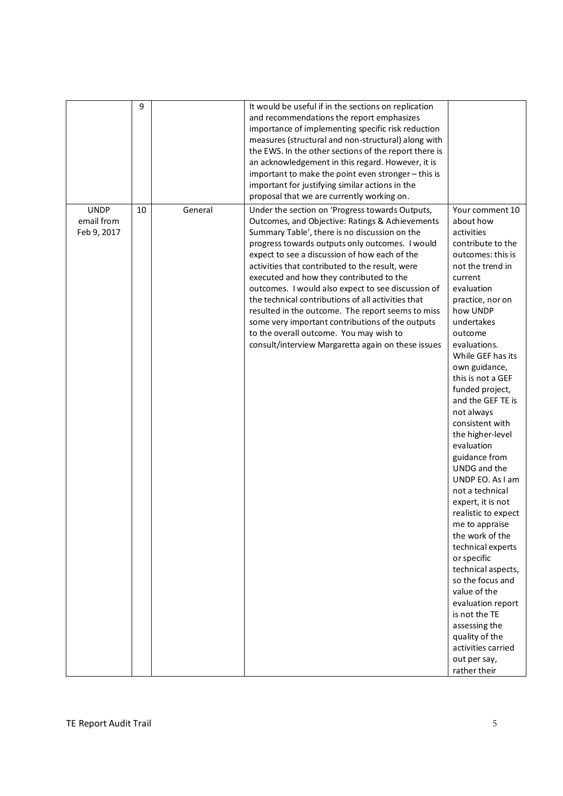|                                          | 9  |         | It would be useful if in the sections on replication<br>and recommendations the report emphasizes<br>importance of implementing specific risk reduction<br>measures (structural and non-structural) along with<br>the EWS. In the other sections of the report there is<br>an acknowledgement in this regard. However, it is<br>important to make the point even stronger - this is<br>important for justifying similar actions in the<br>proposal that we are currently working on.                                                                                                                                                                                         |                                                                                                                                                                                                                                                                                                                                                                                                                                                                                                                                                                                                                                                                                                                                                                        |
|------------------------------------------|----|---------|------------------------------------------------------------------------------------------------------------------------------------------------------------------------------------------------------------------------------------------------------------------------------------------------------------------------------------------------------------------------------------------------------------------------------------------------------------------------------------------------------------------------------------------------------------------------------------------------------------------------------------------------------------------------------|------------------------------------------------------------------------------------------------------------------------------------------------------------------------------------------------------------------------------------------------------------------------------------------------------------------------------------------------------------------------------------------------------------------------------------------------------------------------------------------------------------------------------------------------------------------------------------------------------------------------------------------------------------------------------------------------------------------------------------------------------------------------|
| <b>UNDP</b><br>email from<br>Feb 9, 2017 | 10 | General | Under the section on 'Progress towards Outputs,<br>Outcomes, and Objective: Ratings & Achievements<br>Summary Table', there is no discussion on the<br>progress towards outputs only outcomes. I would<br>expect to see a discussion of how each of the<br>activities that contributed to the result, were<br>executed and how they contributed to the<br>outcomes. I would also expect to see discussion of<br>the technical contributions of all activities that<br>resulted in the outcome. The report seems to miss<br>some very important contributions of the outputs<br>to the overall outcome. You may wish to<br>consult/interview Margaretta again on these issues | Your comment 10<br>about how<br>activities<br>contribute to the<br>outcomes: this is<br>not the trend in<br>current<br>evaluation<br>practice, nor on<br>how UNDP<br>undertakes<br>outcome<br>evaluations.<br>While GEF has its<br>own guidance,<br>this is not a GEF<br>funded project,<br>and the GEF TE is<br>not always<br>consistent with<br>the higher-level<br>evaluation<br>guidance from<br>UNDG and the<br>UNDP EO. As I am<br>not a technical<br>expert, it is not<br>realistic to expect<br>me to appraise<br>the work of the<br>technical experts<br>or specific<br>technical aspects,<br>so the focus and<br>value of the<br>evaluation report<br>is not the TE<br>assessing the<br>quality of the<br>activities carried<br>out per say,<br>rather their |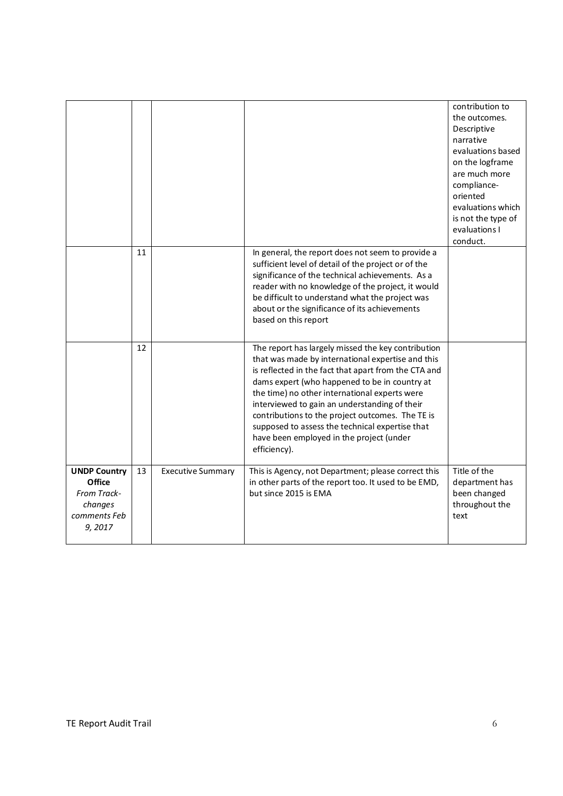|                                                                                   |    |                          |                                                                                                                                                                                                                                                                                                                                                                                                                                                                                       | contribution to<br>the outcomes.<br>Descriptive<br>narrative<br>evaluations based<br>on the logframe<br>are much more<br>compliance-<br>oriented<br>evaluations which<br>is not the type of<br>evaluations I<br>conduct. |
|-----------------------------------------------------------------------------------|----|--------------------------|---------------------------------------------------------------------------------------------------------------------------------------------------------------------------------------------------------------------------------------------------------------------------------------------------------------------------------------------------------------------------------------------------------------------------------------------------------------------------------------|--------------------------------------------------------------------------------------------------------------------------------------------------------------------------------------------------------------------------|
|                                                                                   | 11 |                          | In general, the report does not seem to provide a<br>sufficient level of detail of the project or of the<br>significance of the technical achievements. As a<br>reader with no knowledge of the project, it would<br>be difficult to understand what the project was<br>about or the significance of its achievements<br>based on this report                                                                                                                                         |                                                                                                                                                                                                                          |
|                                                                                   | 12 |                          | The report has largely missed the key contribution<br>that was made by international expertise and this<br>is reflected in the fact that apart from the CTA and<br>dams expert (who happened to be in country at<br>the time) no other international experts were<br>interviewed to gain an understanding of their<br>contributions to the project outcomes. The TE is<br>supposed to assess the technical expertise that<br>have been employed in the project (under<br>efficiency). |                                                                                                                                                                                                                          |
| <b>UNDP Country</b><br>Office<br>From Track-<br>changes<br>comments Feb<br>9,2017 | 13 | <b>Executive Summary</b> | This is Agency, not Department; please correct this<br>in other parts of the report too. It used to be EMD,<br>but since 2015 is EMA                                                                                                                                                                                                                                                                                                                                                  | Title of the<br>department has<br>been changed<br>throughout the<br>text                                                                                                                                                 |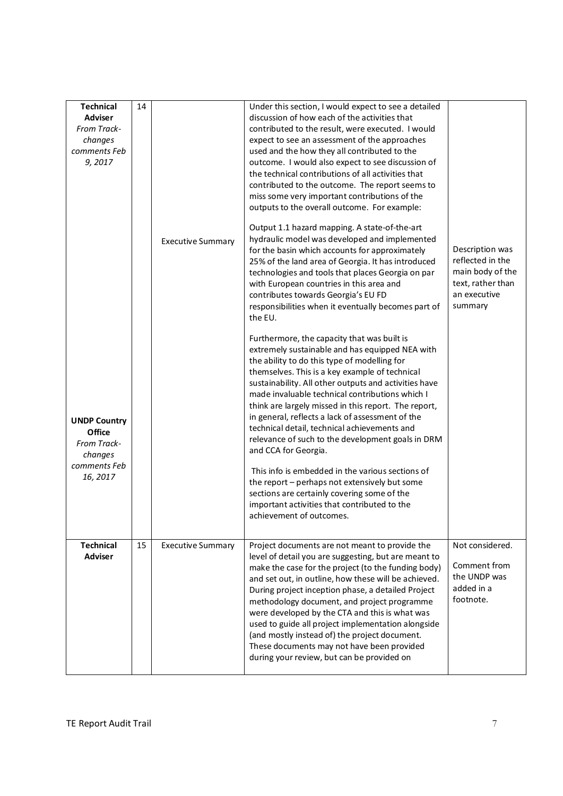| <b>Technical</b><br><b>Adviser</b><br>From Track-<br>changes<br>comments Feb<br>9,2017<br><b>UNDP Country</b><br>Office<br>From Track-<br>changes | 14 | <b>Executive Summary</b> | Under this section, I would expect to see a detailed<br>discussion of how each of the activities that<br>contributed to the result, were executed. I would<br>expect to see an assessment of the approaches<br>used and the how they all contributed to the<br>outcome. I would also expect to see discussion of<br>the technical contributions of all activities that<br>contributed to the outcome. The report seems to<br>miss some very important contributions of the<br>outputs to the overall outcome. For example:<br>Output 1.1 hazard mapping. A state-of-the-art<br>hydraulic model was developed and implemented<br>for the basin which accounts for approximately<br>25% of the land area of Georgia. It has introduced<br>technologies and tools that places Georgia on par<br>with European countries in this area and<br>contributes towards Georgia's EU FD<br>responsibilities when it eventually becomes part of<br>the EU.<br>Furthermore, the capacity that was built is<br>extremely sustainable and has equipped NEA with<br>the ability to do this type of modelling for<br>themselves. This is a key example of technical<br>sustainability. All other outputs and activities have<br>made invaluable technical contributions which I<br>think are largely missed in this report. The report,<br>in general, reflects a lack of assessment of the<br>technical detail, technical achievements and<br>relevance of such to the development goals in DRM<br>and CCA for Georgia. | Description was<br>reflected in the<br>main body of the<br>text, rather than<br>an executive<br>summary |
|---------------------------------------------------------------------------------------------------------------------------------------------------|----|--------------------------|---------------------------------------------------------------------------------------------------------------------------------------------------------------------------------------------------------------------------------------------------------------------------------------------------------------------------------------------------------------------------------------------------------------------------------------------------------------------------------------------------------------------------------------------------------------------------------------------------------------------------------------------------------------------------------------------------------------------------------------------------------------------------------------------------------------------------------------------------------------------------------------------------------------------------------------------------------------------------------------------------------------------------------------------------------------------------------------------------------------------------------------------------------------------------------------------------------------------------------------------------------------------------------------------------------------------------------------------------------------------------------------------------------------------------------------------------------------------------------------------------------|---------------------------------------------------------------------------------------------------------|
| comments Feb<br>16, 2017                                                                                                                          |    |                          | This info is embedded in the various sections of<br>the report - perhaps not extensively but some<br>sections are certainly covering some of the<br>important activities that contributed to the<br>achievement of outcomes.                                                                                                                                                                                                                                                                                                                                                                                                                                                                                                                                                                                                                                                                                                                                                                                                                                                                                                                                                                                                                                                                                                                                                                                                                                                                            |                                                                                                         |
| <b>Technical</b><br><b>Adviser</b>                                                                                                                | 15 | <b>Executive Summary</b> | Project documents are not meant to provide the<br>level of detail you are suggesting, but are meant to<br>make the case for the project (to the funding body)<br>and set out, in outline, how these will be achieved.<br>During project inception phase, a detailed Project<br>methodology document, and project programme<br>were developed by the CTA and this is what was<br>used to guide all project implementation alongside<br>(and mostly instead of) the project document.<br>These documents may not have been provided<br>during your review, but can be provided on                                                                                                                                                                                                                                                                                                                                                                                                                                                                                                                                                                                                                                                                                                                                                                                                                                                                                                                         | Not considered.<br>Comment from<br>the UNDP was<br>added in a<br>footnote.                              |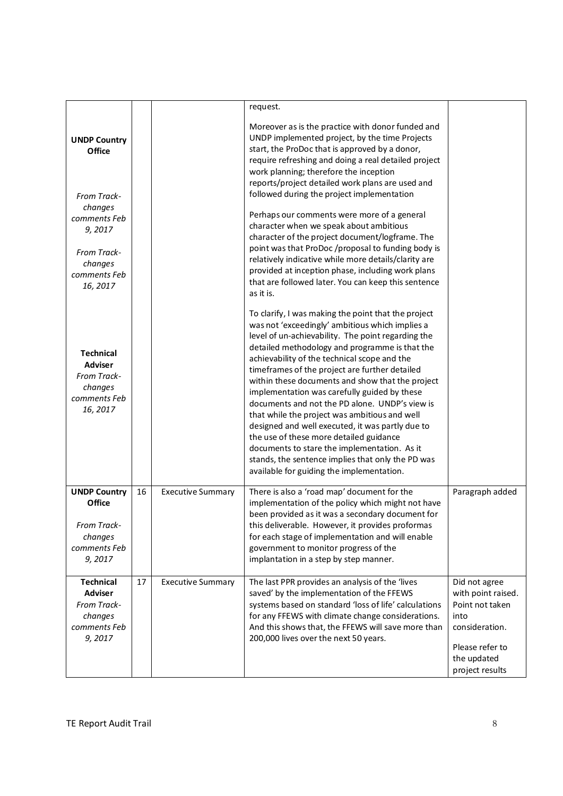|                                                                                          |    |                          | request.                                                                                                                                                                                                                                                                                                                                                                                                                                                                                                                                                                                                                                                                                                                                                                 |                                                                                                                                       |
|------------------------------------------------------------------------------------------|----|--------------------------|--------------------------------------------------------------------------------------------------------------------------------------------------------------------------------------------------------------------------------------------------------------------------------------------------------------------------------------------------------------------------------------------------------------------------------------------------------------------------------------------------------------------------------------------------------------------------------------------------------------------------------------------------------------------------------------------------------------------------------------------------------------------------|---------------------------------------------------------------------------------------------------------------------------------------|
| <b>UNDP Country</b><br>Office<br>From Track-                                             |    |                          | Moreover as is the practice with donor funded and<br>UNDP implemented project, by the time Projects<br>start, the ProDoc that is approved by a donor,<br>require refreshing and doing a real detailed project<br>work planning; therefore the inception<br>reports/project detailed work plans are used and<br>followed during the project implementation                                                                                                                                                                                                                                                                                                                                                                                                                |                                                                                                                                       |
| changes<br>comments Feb<br>9,2017                                                        |    |                          | Perhaps our comments were more of a general<br>character when we speak about ambitious<br>character of the project document/logframe. The                                                                                                                                                                                                                                                                                                                                                                                                                                                                                                                                                                                                                                |                                                                                                                                       |
| From Track-<br>changes<br>comments Feb<br>16, 2017                                       |    |                          | point was that ProDoc /proposal to funding body is<br>relatively indicative while more details/clarity are<br>provided at inception phase, including work plans<br>that are followed later. You can keep this sentence<br>as it is.                                                                                                                                                                                                                                                                                                                                                                                                                                                                                                                                      |                                                                                                                                       |
| <b>Technical</b><br><b>Adviser</b><br>From Track-<br>changes<br>comments Feb<br>16, 2017 |    |                          | To clarify, I was making the point that the project<br>was not 'exceedingly' ambitious which implies a<br>level of un-achievability. The point regarding the<br>detailed methodology and programme is that the<br>achievability of the technical scope and the<br>timeframes of the project are further detailed<br>within these documents and show that the project<br>implementation was carefully guided by these<br>documents and not the PD alone. UNDP's view is<br>that while the project was ambitious and well<br>designed and well executed, it was partly due to<br>the use of these more detailed guidance<br>documents to stare the implementation. As it<br>stands, the sentence implies that only the PD was<br>available for guiding the implementation. |                                                                                                                                       |
| <b>UNDP Country</b><br>Office<br>From Track-<br>changes<br>comments Feb<br>9,2017        | 16 | <b>Executive Summary</b> | There is also a 'road map' document for the<br>implementation of the policy which might not have<br>been provided as it was a secondary document for<br>this deliverable. However, it provides proformas<br>for each stage of implementation and will enable<br>government to monitor progress of the<br>implantation in a step by step manner.                                                                                                                                                                                                                                                                                                                                                                                                                          | Paragraph added                                                                                                                       |
| <b>Technical</b><br><b>Adviser</b><br>From Track-<br>changes<br>comments Feb<br>9,2017   | 17 | <b>Executive Summary</b> | The last PPR provides an analysis of the 'lives<br>saved' by the implementation of the FFEWS<br>systems based on standard 'loss of life' calculations<br>for any FFEWS with climate change considerations.<br>And this shows that, the FFEWS will save more than<br>200,000 lives over the next 50 years.                                                                                                                                                                                                                                                                                                                                                                                                                                                                | Did not agree<br>with point raised.<br>Point not taken<br>into<br>consideration.<br>Please refer to<br>the updated<br>project results |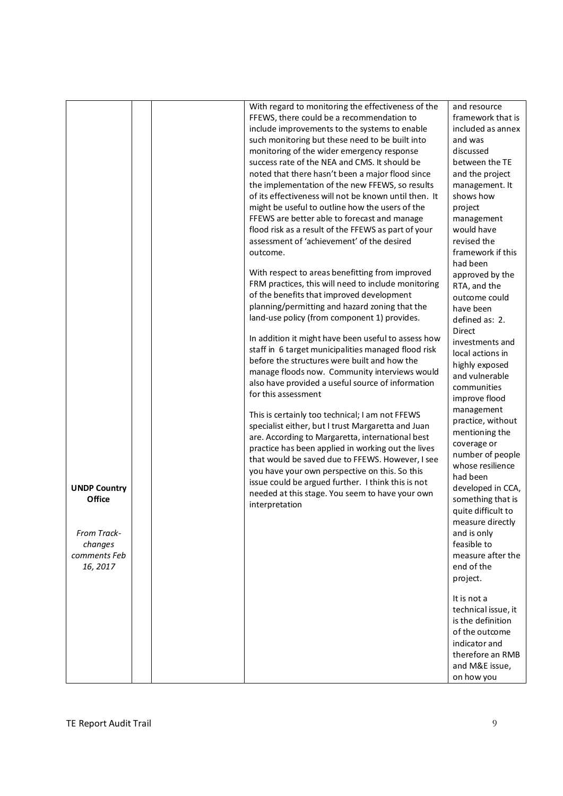| <b>UNDP Country</b><br><b>Office</b><br>From Track-<br>changes<br>comments Feb<br>16, 2017 |  | With regard to monitoring the effectiveness of the<br>FFEWS, there could be a recommendation to<br>include improvements to the systems to enable<br>such monitoring but these need to be built into<br>monitoring of the wider emergency response<br>success rate of the NEA and CMS. It should be<br>noted that there hasn't been a major flood since<br>the implementation of the new FFEWS, so results<br>of its effectiveness will not be known until then. It<br>might be useful to outline how the users of the<br>FFEWS are better able to forecast and manage<br>flood risk as a result of the FFEWS as part of your<br>assessment of 'achievement' of the desired<br>outcome.<br>With respect to areas benefitting from improved<br>FRM practices, this will need to include monitoring<br>of the benefits that improved development<br>planning/permitting and hazard zoning that the<br>land-use policy (from component 1) provides.<br>In addition it might have been useful to assess how<br>staff in 6 target municipalities managed flood risk<br>before the structures were built and how the<br>manage floods now. Community interviews would<br>also have provided a useful source of information<br>for this assessment<br>This is certainly too technical; I am not FFEWS<br>specialist either, but I trust Margaretta and Juan<br>are. According to Margaretta, international best<br>practice has been applied in working out the lives<br>that would be saved due to FFEWS. However, I see<br>you have your own perspective on this. So this<br>issue could be argued further. I think this is not<br>needed at this stage. You seem to have your own<br>interpretation | and resource<br>framework that is<br>included as annex<br>and was<br>discussed<br>between the TE<br>and the project<br>management. It<br>shows how<br>project<br>management<br>would have<br>revised the<br>framework if this<br>had been<br>approved by the<br>RTA, and the<br>outcome could<br>have been<br>defined as: 2.<br><b>Direct</b><br>investments and<br>local actions in<br>highly exposed<br>and vulnerable<br>communities<br>improve flood<br>management<br>practice, without<br>mentioning the<br>coverage or<br>number of people<br>whose resilience<br>had been<br>developed in CCA,<br>something that is<br>quite difficult to<br>measure directly<br>and is only<br>feasible to<br>measure after the<br>end of the<br>project. |
|--------------------------------------------------------------------------------------------|--|------------------------------------------------------------------------------------------------------------------------------------------------------------------------------------------------------------------------------------------------------------------------------------------------------------------------------------------------------------------------------------------------------------------------------------------------------------------------------------------------------------------------------------------------------------------------------------------------------------------------------------------------------------------------------------------------------------------------------------------------------------------------------------------------------------------------------------------------------------------------------------------------------------------------------------------------------------------------------------------------------------------------------------------------------------------------------------------------------------------------------------------------------------------------------------------------------------------------------------------------------------------------------------------------------------------------------------------------------------------------------------------------------------------------------------------------------------------------------------------------------------------------------------------------------------------------------------------------------------------------------------------------------------------------------------------------|---------------------------------------------------------------------------------------------------------------------------------------------------------------------------------------------------------------------------------------------------------------------------------------------------------------------------------------------------------------------------------------------------------------------------------------------------------------------------------------------------------------------------------------------------------------------------------------------------------------------------------------------------------------------------------------------------------------------------------------------------|
|                                                                                            |  |                                                                                                                                                                                                                                                                                                                                                                                                                                                                                                                                                                                                                                                                                                                                                                                                                                                                                                                                                                                                                                                                                                                                                                                                                                                                                                                                                                                                                                                                                                                                                                                                                                                                                                | It is not a<br>technical issue, it<br>is the definition<br>of the outcome<br>indicator and<br>therefore an RMB<br>and M&E issue,<br>on how you                                                                                                                                                                                                                                                                                                                                                                                                                                                                                                                                                                                                    |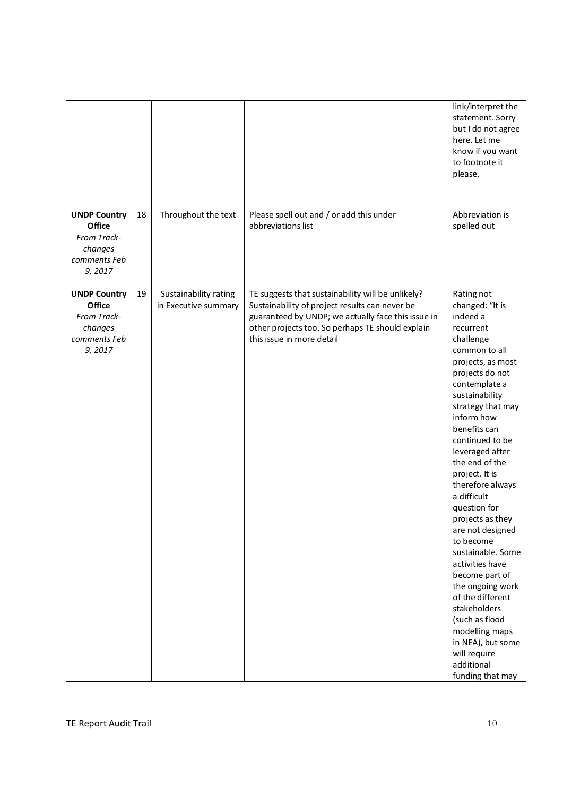|                                                                                   |    |                                               |                                                                                                                                                                                                                                            | link/interpret the<br>statement. Sorry<br>but I do not agree<br>here. Let me<br>know if you want<br>to footnote it<br>please.                                                                                                                                                                                                                                                                                                                                                                                                                                                                                                     |
|-----------------------------------------------------------------------------------|----|-----------------------------------------------|--------------------------------------------------------------------------------------------------------------------------------------------------------------------------------------------------------------------------------------------|-----------------------------------------------------------------------------------------------------------------------------------------------------------------------------------------------------------------------------------------------------------------------------------------------------------------------------------------------------------------------------------------------------------------------------------------------------------------------------------------------------------------------------------------------------------------------------------------------------------------------------------|
| <b>UNDP Country</b><br>Office<br>From Track-<br>changes<br>comments Feb<br>9,2017 | 18 | Throughout the text                           | Please spell out and / or add this under<br>abbreviations list                                                                                                                                                                             | Abbreviation is<br>spelled out                                                                                                                                                                                                                                                                                                                                                                                                                                                                                                                                                                                                    |
| <b>UNDP Country</b><br>Office<br>From Track-<br>changes<br>comments Feb<br>9,2017 | 19 | Sustainability rating<br>in Executive summary | TE suggests that sustainability will be unlikely?<br>Sustainability of project results can never be<br>guaranteed by UNDP; we actually face this issue in<br>other projects too. So perhaps TE should explain<br>this issue in more detail | Rating not<br>changed: "It is<br>indeed a<br>recurrent<br>challenge<br>common to all<br>projects, as most<br>projects do not<br>contemplate a<br>sustainability<br>strategy that may<br>inform how<br>benefits can<br>continued to be<br>leveraged after<br>the end of the<br>project. It is<br>therefore always<br>a difficult<br>question for<br>projects as they<br>are not designed<br>to become<br>sustainable. Some<br>activities have<br>become part of<br>the ongoing work<br>of the different<br>stakeholders<br>(such as flood<br>modelling maps<br>in NEA), but some<br>will require<br>additional<br>funding that may |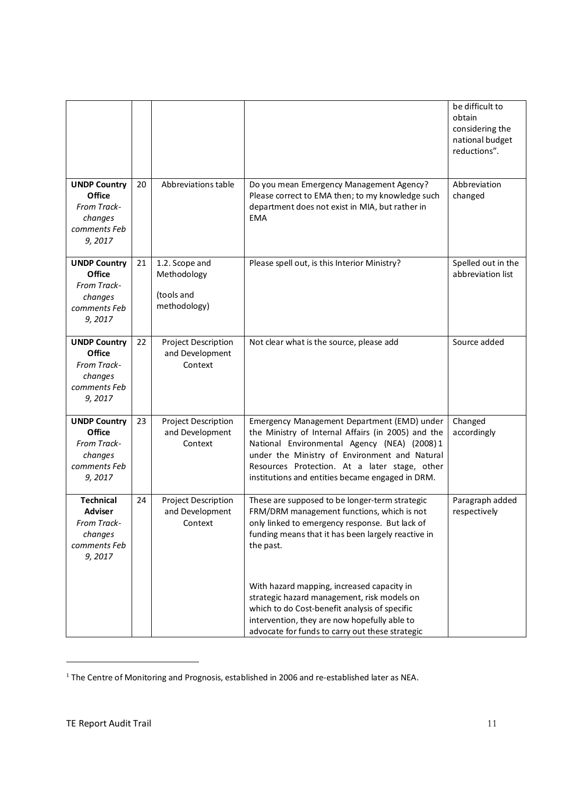|                                                                                        |    |                                                             |                                                                                                                                                                                                                                                                                                        | be difficult to<br>obtain<br>considering the<br>national budget<br>reductions". |
|----------------------------------------------------------------------------------------|----|-------------------------------------------------------------|--------------------------------------------------------------------------------------------------------------------------------------------------------------------------------------------------------------------------------------------------------------------------------------------------------|---------------------------------------------------------------------------------|
| <b>UNDP Country</b><br>Office<br>From Track-<br>changes<br>comments Feb<br>9,2017      | 20 | Abbreviations table                                         | Do you mean Emergency Management Agency?<br>Please correct to EMA then; to my knowledge such<br>department does not exist in MIA, but rather in<br><b>EMA</b>                                                                                                                                          | Abbreviation<br>changed                                                         |
| <b>UNDP Country</b><br>Office<br>From Track-<br>changes<br>comments Feb<br>9,2017      | 21 | 1.2. Scope and<br>Methodology<br>(tools and<br>methodology) | Please spell out, is this Interior Ministry?                                                                                                                                                                                                                                                           | Spelled out in the<br>abbreviation list                                         |
| <b>UNDP Country</b><br>Office<br>From Track-<br>changes<br>comments Feb<br>9,2017      | 22 | <b>Project Description</b><br>and Development<br>Context    | Not clear what is the source, please add                                                                                                                                                                                                                                                               | Source added                                                                    |
| <b>UNDP Country</b><br>Office<br>From Track-<br>changes<br>comments Feb<br>9,2017      | 23 | <b>Project Description</b><br>and Development<br>Context    | Emergency Management Department (EMD) under<br>the Ministry of Internal Affairs (in 2005) and the<br>National Environmental Agency (NEA) (2008)1<br>under the Ministry of Environment and Natural<br>Resources Protection. At a later stage, other<br>institutions and entities became engaged in DRM. | Changed<br>accordingly                                                          |
| <b>Technical</b><br><b>Adviser</b><br>From Track-<br>changes<br>comments Feb<br>9,2017 | 24 | <b>Project Description</b><br>and Development<br>Context    | These are supposed to be longer-term strategic<br>FRM/DRM management functions, which is not<br>only linked to emergency response. But lack of<br>funding means that it has been largely reactive in<br>the past.                                                                                      | Paragraph added<br>respectively                                                 |
|                                                                                        |    |                                                             | With hazard mapping, increased capacity in<br>strategic hazard management, risk models on<br>which to do Cost-benefit analysis of specific<br>intervention, they are now hopefully able to<br>advocate for funds to carry out these strategic                                                          |                                                                                 |

 $1$  The Centre of Monitoring and Prognosis, established in 2006 and re-established later as NEA.

.<br>-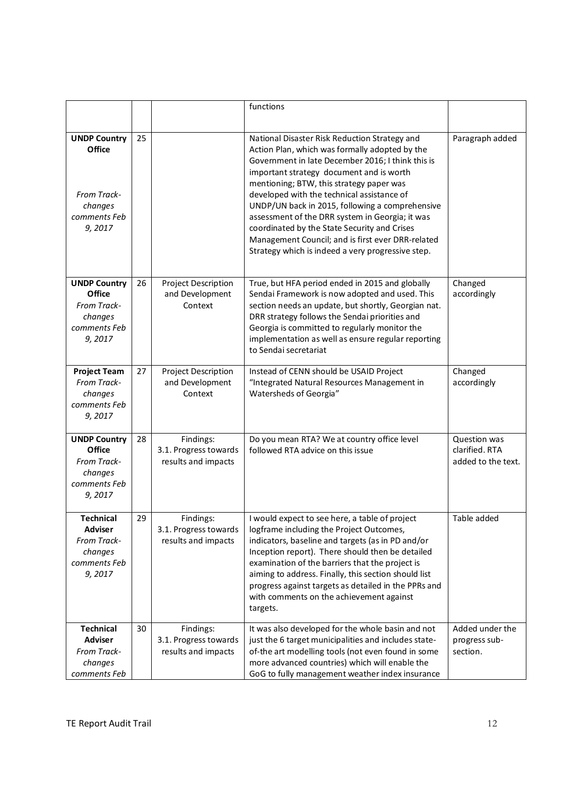|                                                                                   |    |                                                           | functions                                                                                                                                                                                                                                                                                                                                                                                                                                                                                                                                                  |                                                      |
|-----------------------------------------------------------------------------------|----|-----------------------------------------------------------|------------------------------------------------------------------------------------------------------------------------------------------------------------------------------------------------------------------------------------------------------------------------------------------------------------------------------------------------------------------------------------------------------------------------------------------------------------------------------------------------------------------------------------------------------------|------------------------------------------------------|
| <b>UNDP Country</b><br>Office<br>From Track-<br>changes<br>comments Feb<br>9,2017 | 25 |                                                           | National Disaster Risk Reduction Strategy and<br>Action Plan, which was formally adopted by the<br>Government in late December 2016; I think this is<br>important strategy document and is worth<br>mentioning; BTW, this strategy paper was<br>developed with the technical assistance of<br>UNDP/UN back in 2015, following a comprehensive<br>assessment of the DRR system in Georgia; it was<br>coordinated by the State Security and Crises<br>Management Council; and is first ever DRR-related<br>Strategy which is indeed a very progressive step. | Paragraph added                                      |
| <b>UNDP Country</b><br>Office<br>From Track-<br>changes<br>comments Feb<br>9,2017 | 26 | <b>Project Description</b><br>and Development<br>Context  | True, but HFA period ended in 2015 and globally<br>Sendai Framework is now adopted and used. This<br>section needs an update, but shortly, Georgian nat.<br>DRR strategy follows the Sendai priorities and<br>Georgia is committed to regularly monitor the<br>implementation as well as ensure regular reporting<br>to Sendai secretariat                                                                                                                                                                                                                 | Changed<br>accordingly                               |
| <b>Project Team</b><br>From Track-<br>changes<br>comments Feb<br>9,2017           | 27 | <b>Project Description</b><br>and Development<br>Context  | Instead of CENN should be USAID Project<br>"Integrated Natural Resources Management in<br>Watersheds of Georgia"                                                                                                                                                                                                                                                                                                                                                                                                                                           | Changed<br>accordingly                               |
| <b>UNDP Country</b><br>Office<br>From Track-<br>changes<br>comments Feb<br>9,2017 | 28 | Findings:<br>3.1. Progress towards<br>results and impacts | Do you mean RTA? We at country office level<br>followed RTA advice on this issue                                                                                                                                                                                                                                                                                                                                                                                                                                                                           | Question was<br>clarified. RTA<br>added to the text. |
| Technical<br><b>Adviser</b><br>From Track-<br>changes<br>comments Feb<br>9,2017   | 29 | Findings:<br>3.1. Progress towards<br>results and impacts | I would expect to see here, a table of project<br>logframe including the Project Outcomes,<br>indicators, baseline and targets (as in PD and/or<br>Inception report). There should then be detailed<br>examination of the barriers that the project is<br>aiming to address. Finally, this section should list<br>progress against targets as detailed in the PPRs and<br>with comments on the achievement against<br>targets.                                                                                                                             | Table added                                          |
| <b>Technical</b><br><b>Adviser</b><br>From Track-<br>changes<br>comments Feb      | 30 | Findings:<br>3.1. Progress towards<br>results and impacts | It was also developed for the whole basin and not<br>just the 6 target municipalities and includes state-<br>of-the art modelling tools (not even found in some<br>more advanced countries) which will enable the<br>GoG to fully management weather index insurance                                                                                                                                                                                                                                                                                       | Added under the<br>progress sub-<br>section.         |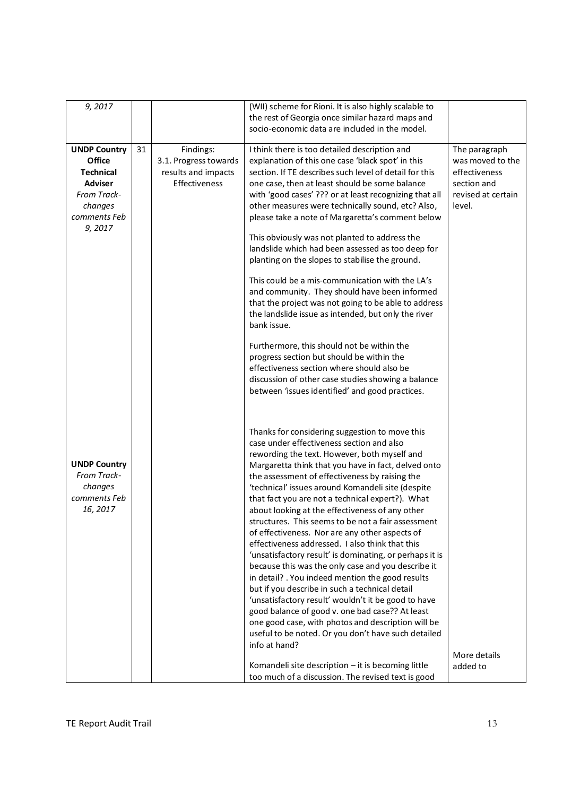| 9,2017                                                                                                                  |    |                                                                            | (WII) scheme for Rioni. It is also highly scalable to                                                                                                                                                                                                                                                                                                                                                                                                                                                                                                                                                                                                                                                                                                                                                                                                                                                                                                                                                                                                                                                                                                                                                                                                                                                         |                                                                                                   |
|-------------------------------------------------------------------------------------------------------------------------|----|----------------------------------------------------------------------------|---------------------------------------------------------------------------------------------------------------------------------------------------------------------------------------------------------------------------------------------------------------------------------------------------------------------------------------------------------------------------------------------------------------------------------------------------------------------------------------------------------------------------------------------------------------------------------------------------------------------------------------------------------------------------------------------------------------------------------------------------------------------------------------------------------------------------------------------------------------------------------------------------------------------------------------------------------------------------------------------------------------------------------------------------------------------------------------------------------------------------------------------------------------------------------------------------------------------------------------------------------------------------------------------------------------|---------------------------------------------------------------------------------------------------|
|                                                                                                                         |    |                                                                            | the rest of Georgia once similar hazard maps and<br>socio-economic data are included in the model.                                                                                                                                                                                                                                                                                                                                                                                                                                                                                                                                                                                                                                                                                                                                                                                                                                                                                                                                                                                                                                                                                                                                                                                                            |                                                                                                   |
| <b>UNDP Country</b><br>Office<br><b>Technical</b><br><b>Adviser</b><br>From Track-<br>changes<br>comments Feb<br>9,2017 | 31 | Findings:<br>3.1. Progress towards<br>results and impacts<br>Effectiveness | I think there is too detailed description and<br>explanation of this one case 'black spot' in this<br>section. If TE describes such level of detail for this<br>one case, then at least should be some balance<br>with 'good cases' ??? or at least recognizing that all<br>other measures were technically sound, etc? Also,<br>please take a note of Margaretta's comment below<br>This obviously was not planted to address the<br>landslide which had been assessed as too deep for<br>planting on the slopes to stabilise the ground.<br>This could be a mis-communication with the LA's<br>and community. They should have been informed<br>that the project was not going to be able to address<br>the landslide issue as intended, but only the river<br>bank issue.<br>Furthermore, this should not be within the<br>progress section but should be within the                                                                                                                                                                                                                                                                                                                                                                                                                                       | The paragraph<br>was moved to the<br>effectiveness<br>section and<br>revised at certain<br>level. |
| <b>UNDP Country</b><br>From Track-<br>changes<br>comments Feb<br>16, 2017                                               |    |                                                                            | effectiveness section where should also be<br>discussion of other case studies showing a balance<br>between 'issues identified' and good practices.<br>Thanks for considering suggestion to move this<br>case under effectiveness section and also<br>rewording the text. However, both myself and<br>Margaretta think that you have in fact, delved onto<br>the assessment of effectiveness by raising the<br>'technical' issues around Komandeli site (despite<br>that fact you are not a technical expert?). What<br>about looking at the effectiveness of any other<br>structures. This seems to be not a fair assessment<br>of effectiveness. Nor are any other aspects of<br>effectiveness addressed. I also think that this<br>'unsatisfactory result' is dominating, or perhaps it is<br>because this was the only case and you describe it<br>in detail? . You indeed mention the good results<br>but if you describe in such a technical detail<br>'unsatisfactory result' wouldn't it be good to have<br>good balance of good v. one bad case?? At least<br>one good case, with photos and description will be<br>useful to be noted. Or you don't have such detailed<br>info at hand?<br>Komandeli site description - it is becoming little<br>too much of a discussion. The revised text is good | More details<br>added to                                                                          |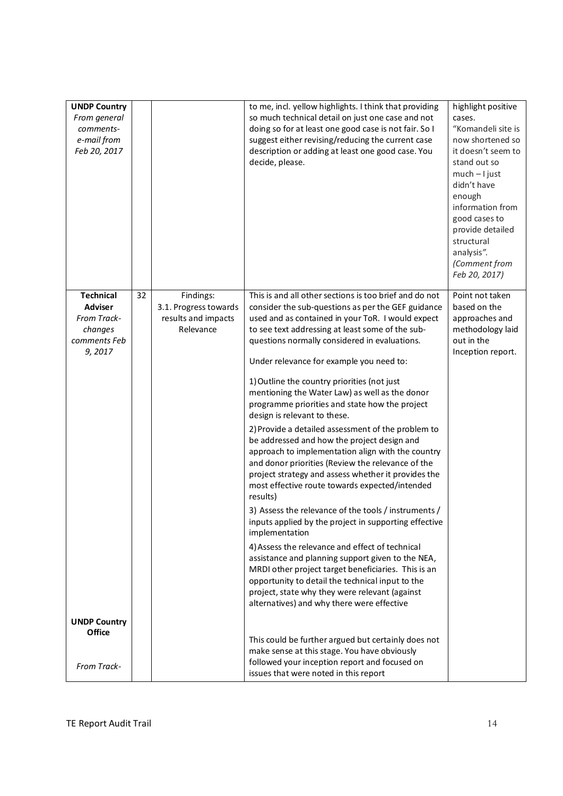| <b>UNDP Country</b><br>From general<br>comments-<br>e-mail from<br>Feb 20, 2017        |    |                                                                        | to me, incl. yellow highlights. I think that providing<br>so much technical detail on just one case and not<br>doing so for at least one good case is not fair. So I<br>suggest either revising/reducing the current case<br>description or adding at least one good case. You<br>decide, please.                                                                                                                                                                                                                                                                                                                                                                                                                                                                                                                                                                                                                                                                                                                                                                                                                                                                                                                                                 | highlight positive<br>cases.<br>"Komandeli site is<br>now shortened so<br>it doesn't seem to<br>stand out so<br>$much - l$ just<br>didn't have<br>enough<br>information from<br>good cases to<br>provide detailed<br>structural<br>analysis".<br>(Comment from |
|----------------------------------------------------------------------------------------|----|------------------------------------------------------------------------|---------------------------------------------------------------------------------------------------------------------------------------------------------------------------------------------------------------------------------------------------------------------------------------------------------------------------------------------------------------------------------------------------------------------------------------------------------------------------------------------------------------------------------------------------------------------------------------------------------------------------------------------------------------------------------------------------------------------------------------------------------------------------------------------------------------------------------------------------------------------------------------------------------------------------------------------------------------------------------------------------------------------------------------------------------------------------------------------------------------------------------------------------------------------------------------------------------------------------------------------------|----------------------------------------------------------------------------------------------------------------------------------------------------------------------------------------------------------------------------------------------------------------|
| <b>Technical</b><br><b>Adviser</b><br>From Track-<br>changes<br>comments Feb<br>9,2017 | 32 | Findings:<br>3.1. Progress towards<br>results and impacts<br>Relevance | This is and all other sections is too brief and do not<br>consider the sub-questions as per the GEF guidance<br>used and as contained in your ToR. I would expect<br>to see text addressing at least some of the sub-<br>questions normally considered in evaluations.<br>Under relevance for example you need to:<br>1) Outline the country priorities (not just<br>mentioning the Water Law) as well as the donor<br>programme priorities and state how the project<br>design is relevant to these.<br>2) Provide a detailed assessment of the problem to<br>be addressed and how the project design and<br>approach to implementation align with the country<br>and donor priorities (Review the relevance of the<br>project strategy and assess whether it provides the<br>most effective route towards expected/intended<br>results)<br>3) Assess the relevance of the tools / instruments /<br>inputs applied by the project in supporting effective<br>implementation<br>4) Assess the relevance and effect of technical<br>assistance and planning support given to the NEA,<br>MRDI other project target beneficiaries. This is an<br>opportunity to detail the technical input to the<br>project, state why they were relevant (against | Feb 20, 2017)<br>Point not taken<br>based on the<br>approaches and<br>methodology laid<br>out in the<br>Inception report.                                                                                                                                      |
| <b>UNDP Country</b><br>Office<br>From Track-                                           |    |                                                                        | alternatives) and why there were effective<br>This could be further argued but certainly does not<br>make sense at this stage. You have obviously<br>followed your inception report and focused on<br>issues that were noted in this report                                                                                                                                                                                                                                                                                                                                                                                                                                                                                                                                                                                                                                                                                                                                                                                                                                                                                                                                                                                                       |                                                                                                                                                                                                                                                                |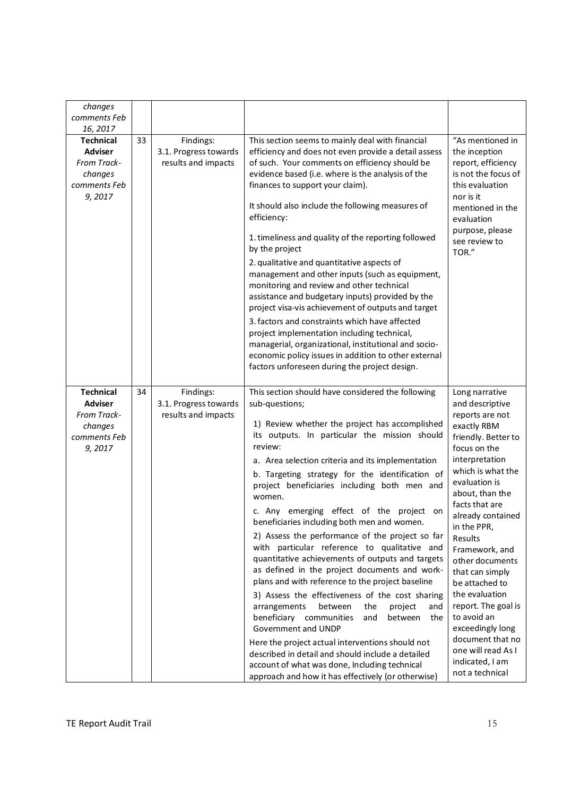| changes<br>comments Feb<br>16, 2017                                                    |    |                                                           |                                                                                                                                                                                                                                                                                                                                                                                                                                                                                                                                                                                                                                                                                                                                                                                                                                                                                                                                                                                                                                                                                                              |                                                                                                                                                                                                                                                                                                                                                                                                                                                                                              |
|----------------------------------------------------------------------------------------|----|-----------------------------------------------------------|--------------------------------------------------------------------------------------------------------------------------------------------------------------------------------------------------------------------------------------------------------------------------------------------------------------------------------------------------------------------------------------------------------------------------------------------------------------------------------------------------------------------------------------------------------------------------------------------------------------------------------------------------------------------------------------------------------------------------------------------------------------------------------------------------------------------------------------------------------------------------------------------------------------------------------------------------------------------------------------------------------------------------------------------------------------------------------------------------------------|----------------------------------------------------------------------------------------------------------------------------------------------------------------------------------------------------------------------------------------------------------------------------------------------------------------------------------------------------------------------------------------------------------------------------------------------------------------------------------------------|
| <b>Technical</b><br><b>Adviser</b>                                                     | 33 | Findings:<br>3.1. Progress towards                        | This section seems to mainly deal with financial<br>efficiency and does not even provide a detail assess                                                                                                                                                                                                                                                                                                                                                                                                                                                                                                                                                                                                                                                                                                                                                                                                                                                                                                                                                                                                     | "As mentioned in<br>the inception                                                                                                                                                                                                                                                                                                                                                                                                                                                            |
| From Track-<br>changes<br>comments Feb<br>9,2017                                       |    | results and impacts                                       | of such. Your comments on efficiency should be<br>evidence based (i.e. where is the analysis of the<br>finances to support your claim).<br>It should also include the following measures of<br>efficiency:<br>1. timeliness and quality of the reporting followed<br>by the project<br>2. qualitative and quantitative aspects of<br>management and other inputs (such as equipment,<br>monitoring and review and other technical<br>assistance and budgetary inputs) provided by the<br>project visa-vis achievement of outputs and target<br>3. factors and constraints which have affected<br>project implementation including technical,<br>managerial, organizational, institutional and socio-<br>economic policy issues in addition to other external<br>factors unforeseen during the project design.                                                                                                                                                                                                                                                                                                | report, efficiency<br>is not the focus of<br>this evaluation<br>nor is it<br>mentioned in the<br>evaluation<br>purpose, please<br>see review to<br>TOR."                                                                                                                                                                                                                                                                                                                                     |
| <b>Technical</b><br><b>Adviser</b><br>From Track-<br>changes<br>comments Feb<br>9,2017 | 34 | Findings:<br>3.1. Progress towards<br>results and impacts | This section should have considered the following<br>sub-questions;<br>1) Review whether the project has accomplished<br>its outputs. In particular the mission should<br>review:<br>a. Area selection criteria and its implementation<br>b. Targeting strategy for the identification of<br>project beneficiaries including both men and<br>women.<br>c. Any emerging effect of the project on<br>beneficiaries including both men and women.<br>2) Assess the performance of the project so far<br>with particular reference to qualitative and<br>quantitative achievements of outputs and targets<br>as defined in the project documents and work-<br>plans and with reference to the project baseline<br>3) Assess the effectiveness of the cost sharing<br>the<br>arrangements<br>between<br>project<br>and<br>beneficiary communities<br>and<br>the<br>between<br>Government and UNDP<br>Here the project actual interventions should not<br>described in detail and should include a detailed<br>account of what was done, Including technical<br>approach and how it has effectively (or otherwise) | Long narrative<br>and descriptive<br>reports are not<br>exactly RBM<br>friendly. Better to<br>focus on the<br>interpretation<br>which is what the<br>evaluation is<br>about, than the<br>facts that are<br>already contained<br>in the PPR,<br>Results<br>Framework, and<br>other documents<br>that can simply<br>be attached to<br>the evaluation<br>report. The goal is<br>to avoid an<br>exceedingly long<br>document that no<br>one will read As I<br>indicated, I am<br>not a technical |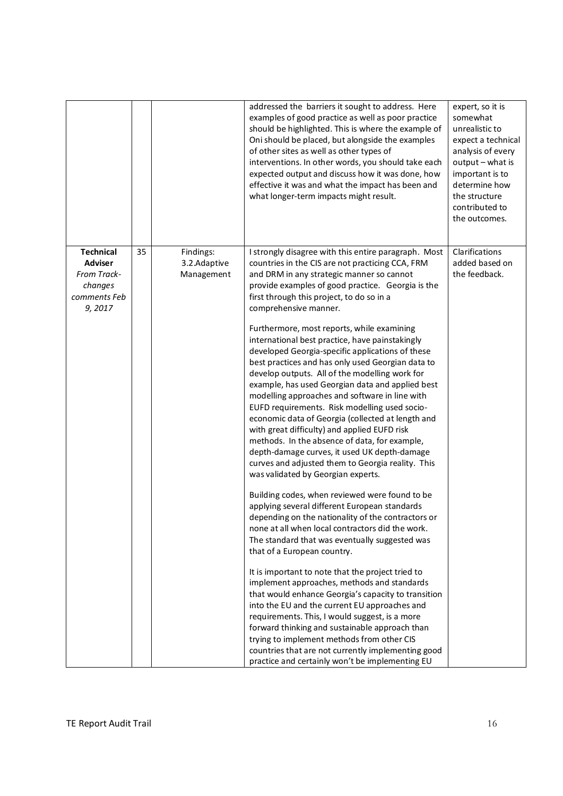|                                                                                        |    |                                         | addressed the barriers it sought to address. Here<br>examples of good practice as well as poor practice<br>should be highlighted. This is where the example of<br>Oni should be placed, but alongside the examples<br>of other sites as well as other types of<br>interventions. In other words, you should take each<br>expected output and discuss how it was done, how<br>effective it was and what the impact has been and<br>what longer-term impacts might result.                                                                                                                                                                                                                                                                                                                                                                                                                                                                                                                                                                                                                                                                                                                                                                                                                                                                                                                                                                                                                                                                                                                                           | expert, so it is<br>somewhat<br>unrealistic to<br>expect a technical<br>analysis of every<br>output - what is<br>important is to<br>determine how<br>the structure<br>contributed to<br>the outcomes. |
|----------------------------------------------------------------------------------------|----|-----------------------------------------|--------------------------------------------------------------------------------------------------------------------------------------------------------------------------------------------------------------------------------------------------------------------------------------------------------------------------------------------------------------------------------------------------------------------------------------------------------------------------------------------------------------------------------------------------------------------------------------------------------------------------------------------------------------------------------------------------------------------------------------------------------------------------------------------------------------------------------------------------------------------------------------------------------------------------------------------------------------------------------------------------------------------------------------------------------------------------------------------------------------------------------------------------------------------------------------------------------------------------------------------------------------------------------------------------------------------------------------------------------------------------------------------------------------------------------------------------------------------------------------------------------------------------------------------------------------------------------------------------------------------|-------------------------------------------------------------------------------------------------------------------------------------------------------------------------------------------------------|
| <b>Technical</b><br><b>Adviser</b><br>From Track-<br>changes<br>comments Feb<br>9,2017 | 35 | Findings:<br>3.2.Adaptive<br>Management | I strongly disagree with this entire paragraph. Most<br>countries in the CIS are not practicing CCA, FRM<br>and DRM in any strategic manner so cannot<br>provide examples of good practice. Georgia is the<br>first through this project, to do so in a<br>comprehensive manner.<br>Furthermore, most reports, while examining<br>international best practice, have painstakingly<br>developed Georgia-specific applications of these<br>best practices and has only used Georgian data to<br>develop outputs. All of the modelling work for<br>example, has used Georgian data and applied best<br>modelling approaches and software in line with<br>EUFD requirements. Risk modelling used socio-<br>economic data of Georgia (collected at length and<br>with great difficulty) and applied EUFD risk<br>methods. In the absence of data, for example,<br>depth-damage curves, it used UK depth-damage<br>curves and adjusted them to Georgia reality. This<br>was validated by Georgian experts.<br>Building codes, when reviewed were found to be<br>applying several different European standards<br>depending on the nationality of the contractors or<br>none at all when local contractors did the work.<br>The standard that was eventually suggested was<br>that of a European country.<br>It is important to note that the project tried to<br>implement approaches, methods and standards<br>that would enhance Georgia's capacity to transition<br>into the EU and the current EU approaches and<br>requirements. This, I would suggest, is a more<br>forward thinking and sustainable approach than | Clarifications<br>added based on<br>the feedback.                                                                                                                                                     |
|                                                                                        |    |                                         | trying to implement methods from other CIS<br>countries that are not currently implementing good<br>practice and certainly won't be implementing EU                                                                                                                                                                                                                                                                                                                                                                                                                                                                                                                                                                                                                                                                                                                                                                                                                                                                                                                                                                                                                                                                                                                                                                                                                                                                                                                                                                                                                                                                |                                                                                                                                                                                                       |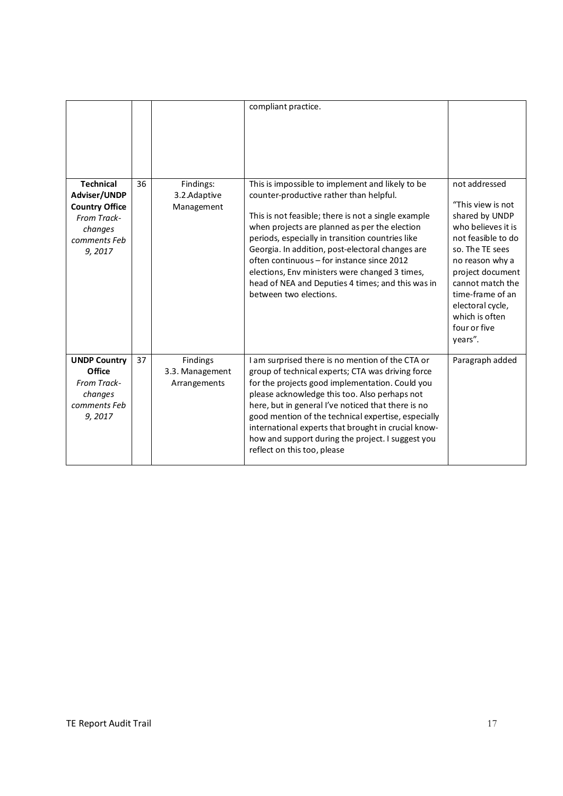|                                                                                                               |    |                                             | compliant practice.                                                                                                                                                                                                                                                                                                                                                                                                                                                                        |                                                                                                                                                                                                                                                                     |
|---------------------------------------------------------------------------------------------------------------|----|---------------------------------------------|--------------------------------------------------------------------------------------------------------------------------------------------------------------------------------------------------------------------------------------------------------------------------------------------------------------------------------------------------------------------------------------------------------------------------------------------------------------------------------------------|---------------------------------------------------------------------------------------------------------------------------------------------------------------------------------------------------------------------------------------------------------------------|
| <b>Technical</b><br>Adviser/UNDP<br><b>Country Office</b><br>From Track-<br>changes<br>comments Feb<br>9,2017 | 36 | Findings:<br>3.2. Adaptive<br>Management    | This is impossible to implement and likely to be<br>counter-productive rather than helpful.<br>This is not feasible; there is not a single example<br>when projects are planned as per the election<br>periods, especially in transition countries like<br>Georgia. In addition, post-electoral changes are<br>often continuous - for instance since 2012<br>elections, Env ministers were changed 3 times,<br>head of NEA and Deputies 4 times; and this was in<br>between two elections. | not addressed<br>"This view is not<br>shared by UNDP<br>who believes it is<br>not feasible to do<br>so. The TE sees<br>no reason why a<br>project document<br>cannot match the<br>time-frame of an<br>electoral cycle,<br>which is often<br>four or five<br>years". |
| <b>UNDP Country</b><br>Office<br>From Track-<br>changes<br>comments Feb<br>9, 2017                            | 37 | Findings<br>3.3. Management<br>Arrangements | I am surprised there is no mention of the CTA or<br>group of technical experts; CTA was driving force<br>for the projects good implementation. Could you<br>please acknowledge this too. Also perhaps not<br>here, but in general I've noticed that there is no<br>good mention of the technical expertise, especially<br>international experts that brought in crucial know-<br>how and support during the project. I suggest you<br>reflect on this too, please                          | Paragraph added                                                                                                                                                                                                                                                     |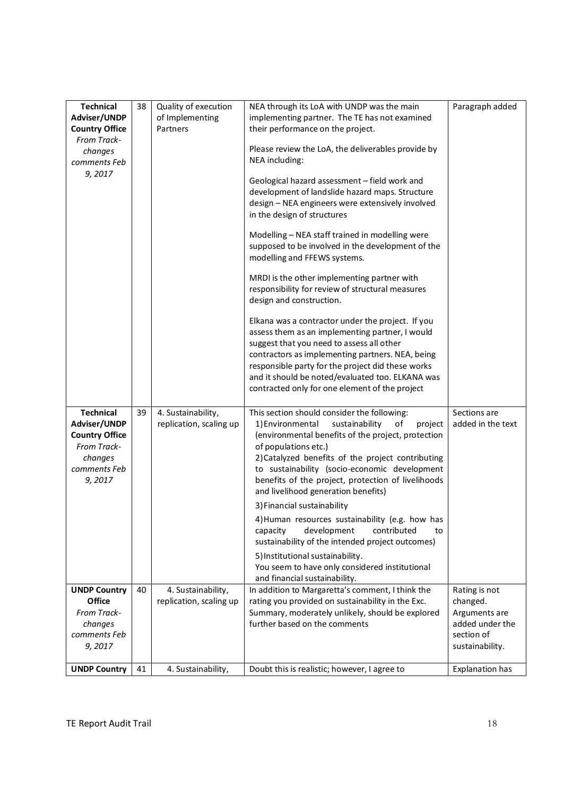| <b>Technical</b><br>Adviser/UNDP                                                                              | 38 | Quality of execution<br>of Implementing       | NEA through its LoA with UNDP was the main<br>implementing partner. The TE has not examined                                                                                                                                                                                                                                                                                         | Paragraph added                                                                                |
|---------------------------------------------------------------------------------------------------------------|----|-----------------------------------------------|-------------------------------------------------------------------------------------------------------------------------------------------------------------------------------------------------------------------------------------------------------------------------------------------------------------------------------------------------------------------------------------|------------------------------------------------------------------------------------------------|
| <b>Country Office</b>                                                                                         |    | Partners                                      | their performance on the project.                                                                                                                                                                                                                                                                                                                                                   |                                                                                                |
| From Track-<br>changes<br>comments Feb                                                                        |    |                                               | Please review the LoA, the deliverables provide by<br>NEA including:                                                                                                                                                                                                                                                                                                                |                                                                                                |
| 9,2017                                                                                                        |    |                                               | Geological hazard assessment - field work and<br>development of landslide hazard maps. Structure<br>design - NEA engineers were extensively involved<br>in the design of structures                                                                                                                                                                                                 |                                                                                                |
|                                                                                                               |    |                                               | Modelling - NEA staff trained in modelling were<br>supposed to be involved in the development of the<br>modelling and FFEWS systems.                                                                                                                                                                                                                                                |                                                                                                |
|                                                                                                               |    |                                               | MRDI is the other implementing partner with<br>responsibility for review of structural measures<br>design and construction.                                                                                                                                                                                                                                                         |                                                                                                |
|                                                                                                               |    |                                               | Elkana was a contractor under the project. If you<br>assess them as an implementing partner, I would<br>suggest that you need to assess all other<br>contractors as implementing partners. NEA, being<br>responsible party for the project did these works<br>and it should be noted/evaluated too. ELKANA was<br>contracted only for one element of the project                    |                                                                                                |
| <b>Technical</b><br>Adviser/UNDP<br><b>Country Office</b><br>From Track-<br>changes<br>comments Feb<br>9,2017 | 39 | 4. Sustainability,<br>replication, scaling up | This section should consider the following:<br>sustainability<br>of<br>1) Environmental<br>project<br>(environmental benefits of the project, protection<br>of populations etc.)<br>2) Catalyzed benefits of the project contributing<br>to sustainability (socio-economic development<br>benefits of the project, protection of livelihoods<br>and livelihood generation benefits) | Sections are<br>added in the text                                                              |
|                                                                                                               |    |                                               | 3) Financial sustainability                                                                                                                                                                                                                                                                                                                                                         |                                                                                                |
|                                                                                                               |    |                                               | 4) Human resources sustainability (e.g. how has<br>development<br>contributed<br>capacity<br>to<br>sustainability of the intended project outcomes)                                                                                                                                                                                                                                 |                                                                                                |
|                                                                                                               |    |                                               | 5) Institutional sustainability.<br>You seem to have only considered institutional<br>and financial sustainability.                                                                                                                                                                                                                                                                 |                                                                                                |
| <b>UNDP Country</b><br>Office<br>From Track-<br>changes<br>comments Feb<br>9,2017                             | 40 | 4. Sustainability,<br>replication, scaling up | In addition to Margaretta's comment, I think the<br>rating you provided on sustainability in the Exc.<br>Summary, moderately unlikely, should be explored<br>further based on the comments                                                                                                                                                                                          | Rating is not<br>changed.<br>Arguments are<br>added under the<br>section of<br>sustainability. |
| <b>UNDP Country</b>                                                                                           | 41 | 4. Sustainability,                            | Doubt this is realistic; however, I agree to                                                                                                                                                                                                                                                                                                                                        | Explanation has                                                                                |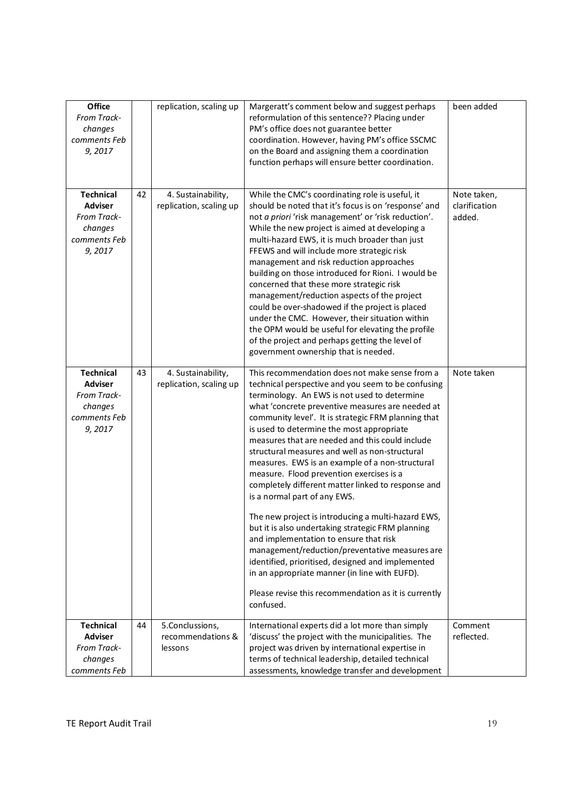| Office<br>From Track-<br>changes<br>comments Feb<br>9,2017                             |    | replication, scaling up                         | Margeratt's comment below and suggest perhaps<br>reformulation of this sentence?? Placing under<br>PM's office does not guarantee better<br>coordination. However, having PM's office SSCMC<br>on the Board and assigning them a coordination<br>function perhaps will ensure better coordination.                                                                                                                                                                                                                                                                                                                                                                                                                                                                                                                                                                                                                                                                          | been added                             |
|----------------------------------------------------------------------------------------|----|-------------------------------------------------|-----------------------------------------------------------------------------------------------------------------------------------------------------------------------------------------------------------------------------------------------------------------------------------------------------------------------------------------------------------------------------------------------------------------------------------------------------------------------------------------------------------------------------------------------------------------------------------------------------------------------------------------------------------------------------------------------------------------------------------------------------------------------------------------------------------------------------------------------------------------------------------------------------------------------------------------------------------------------------|----------------------------------------|
| <b>Technical</b><br><b>Adviser</b><br>From Track-<br>changes<br>comments Feb<br>9,2017 | 42 | 4. Sustainability,<br>replication, scaling up   | While the CMC's coordinating role is useful, it<br>should be noted that it's focus is on 'response' and<br>not a priori 'risk management' or 'risk reduction'.<br>While the new project is aimed at developing a<br>multi-hazard EWS, it is much broader than just<br>FFEWS and will include more strategic risk<br>management and risk reduction approaches<br>building on those introduced for Rioni. I would be<br>concerned that these more strategic risk<br>management/reduction aspects of the project<br>could be over-shadowed if the project is placed<br>under the CMC. However, their situation within<br>the OPM would be useful for elevating the profile<br>of the project and perhaps getting the level of<br>government ownership that is needed.                                                                                                                                                                                                          | Note taken,<br>clarification<br>added. |
| <b>Technical</b><br><b>Adviser</b><br>From Track-<br>changes<br>comments Feb<br>9,2017 | 43 | 4. Sustainability,<br>replication, scaling up   | This recommendation does not make sense from a<br>technical perspective and you seem to be confusing<br>terminology. An EWS is not used to determine<br>what 'concrete preventive measures are needed at<br>community level'. It is strategic FRM planning that<br>is used to determine the most appropriate<br>measures that are needed and this could include<br>structural measures and well as non-structural<br>measures. EWS is an example of a non-structural<br>measure. Flood prevention exercises is a<br>completely different matter linked to response and<br>is a normal part of any EWS.<br>The new project is introducing a multi-hazard EWS,<br>but it is also undertaking strategic FRM planning<br>and implementation to ensure that risk<br>management/reduction/preventative measures are<br>identified, prioritised, designed and implemented<br>in an appropriate manner (in line with EUFD).<br>Please revise this recommendation as it is currently | Note taken                             |
|                                                                                        |    |                                                 | confused.                                                                                                                                                                                                                                                                                                                                                                                                                                                                                                                                                                                                                                                                                                                                                                                                                                                                                                                                                                   |                                        |
| <b>Technical</b><br><b>Adviser</b><br>From Track-<br>changes<br>comments Feb           | 44 | 5.Conclussions,<br>recommendations &<br>lessons | International experts did a lot more than simply<br>'discuss' the project with the municipalities. The<br>project was driven by international expertise in<br>terms of technical leadership, detailed technical<br>assessments, knowledge transfer and development                                                                                                                                                                                                                                                                                                                                                                                                                                                                                                                                                                                                                                                                                                          | Comment<br>reflected.                  |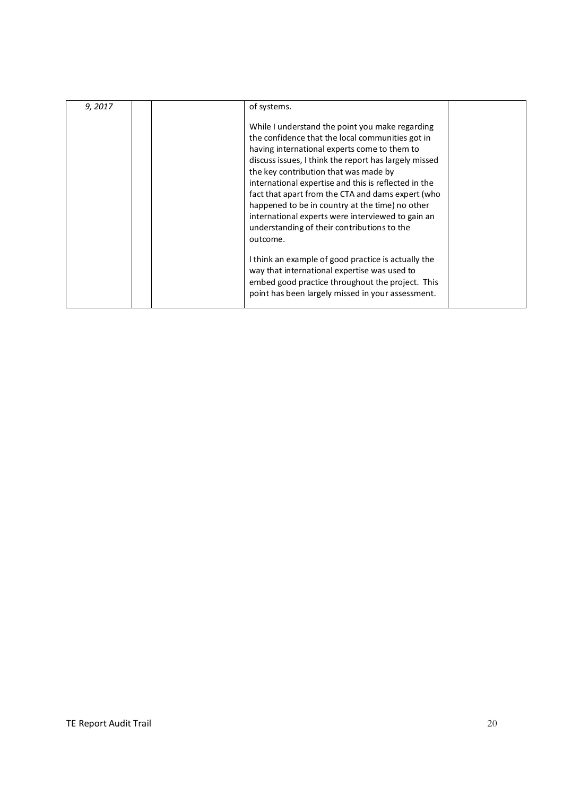| 9, 2017 | of systems.<br>While I understand the point you make regarding<br>the confidence that the local communities got in<br>having international experts come to them to<br>discuss issues, I think the report has largely missed<br>the key contribution that was made by<br>international expertise and this is reflected in the<br>fact that apart from the CTA and dams expert (who<br>happened to be in country at the time) no other<br>international experts were interviewed to gain an<br>understanding of their contributions to the<br>outcome. |  |
|---------|------------------------------------------------------------------------------------------------------------------------------------------------------------------------------------------------------------------------------------------------------------------------------------------------------------------------------------------------------------------------------------------------------------------------------------------------------------------------------------------------------------------------------------------------------|--|
|         | I think an example of good practice is actually the<br>way that international expertise was used to<br>embed good practice throughout the project. This<br>point has been largely missed in your assessment.                                                                                                                                                                                                                                                                                                                                         |  |